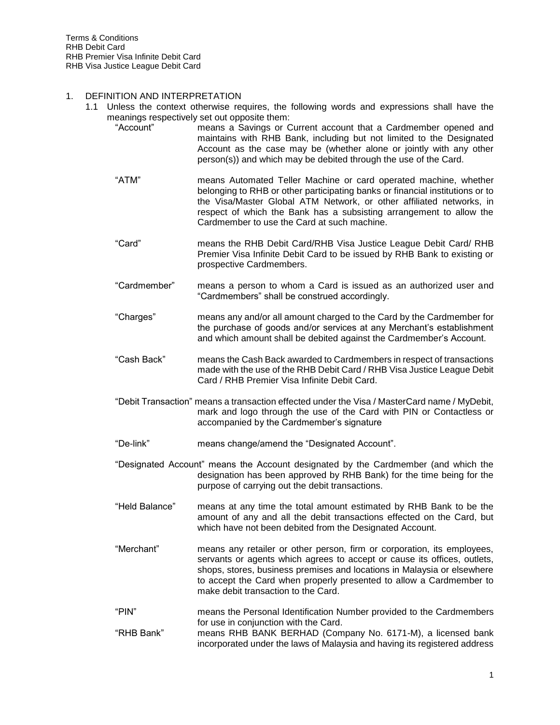#### 1. DEFINITION AND INTERPRETATION

- 1.1 Unless the context otherwise requires, the following words and expressions shall have the meanings respectively set out opposite them:
	- "Account" means a Savings or Current account that a Cardmember opened and maintains with RHB Bank, including but not limited to the Designated Account as the case may be (whether alone or jointly with any other person(s)) and which may be debited through the use of the Card.
	- "ATM" means Automated Teller Machine or card operated machine, whether belonging to RHB or other participating banks or financial institutions or to the Visa/Master Global ATM Network, or other affiliated networks, in respect of which the Bank has a subsisting arrangement to allow the Cardmember to use the Card at such machine.
	- "Card" means the RHB Debit Card/RHB Visa Justice League Debit Card/ RHB Premier Visa Infinite Debit Card to be issued by RHB Bank to existing or prospective Cardmembers.
	- "Cardmember" means a person to whom a Card is issued as an authorized user and "Cardmembers" shall be construed accordingly.
	- "Charges" means any and/or all amount charged to the Card by the Cardmember for the purchase of goods and/or services at any Merchant's establishment and which amount shall be debited against the Cardmember's Account.
	- "Cash Back" means the Cash Back awarded to Cardmembers in respect of transactions made with the use of the RHB Debit Card / RHB Visa Justice League Debit Card / RHB Premier Visa Infinite Debit Card.
	- "Debit Transaction" means a transaction effected under the Visa / MasterCard name / MyDebit, mark and logo through the use of the Card with PIN or Contactless or accompanied by the Cardmember's signature
	- "De-link" means change/amend the "Designated Account".
	- "Designated Account" means the Account designated by the Cardmember (and which the designation has been approved by RHB Bank) for the time being for the purpose of carrying out the debit transactions.
	- "Held Balance" means at any time the total amount estimated by RHB Bank to be the amount of any and all the debit transactions effected on the Card, but which have not been debited from the Designated Account.
	- "Merchant" means any retailer or other person, firm or corporation, its employees, servants or agents which agrees to accept or cause its offices, outlets, shops, stores, business premises and locations in Malaysia or elsewhere to accept the Card when properly presented to allow a Cardmember to make debit transaction to the Card.
	- "PIN" means the Personal Identification Number provided to the Cardmembers for use in conjunction with the Card.
	- "RHB Bank" means RHB BANK BERHAD (Company No. 6171-M), a licensed bank incorporated under the laws of Malaysia and having its registered address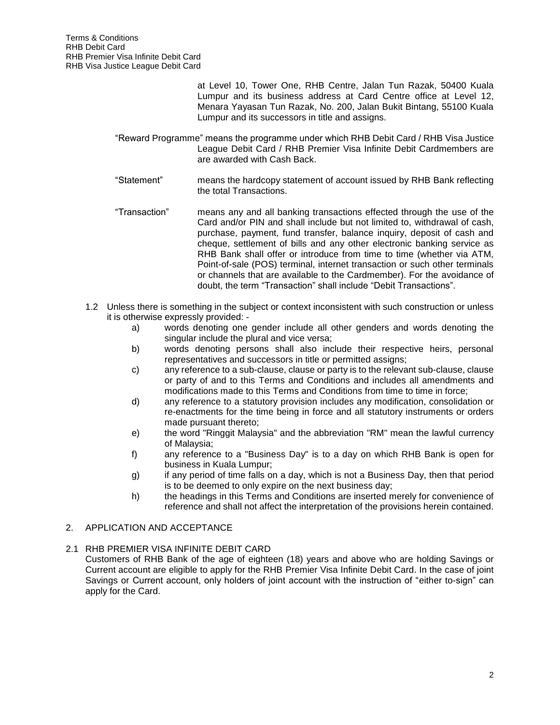at Level 10, Tower One, RHB Centre, Jalan Tun Razak, 50400 Kuala Lumpur and its business address at Card Centre office at Level 12, Menara Yayasan Tun Razak, No. 200, Jalan Bukit Bintang, 55100 Kuala Lumpur and its successors in title and assigns.

- "Reward Programme" means the programme under which RHB Debit Card / RHB Visa Justice League Debit Card / RHB Premier Visa Infinite Debit Cardmembers are are awarded with Cash Back.
- "Statement" means the hardcopy statement of account issued by RHB Bank reflecting the total Transactions.
- "Transaction" means any and all banking transactions effected through the use of the Card and/or PIN and shall include but not limited to, withdrawal of cash, purchase, payment, fund transfer, balance inquiry, deposit of cash and cheque, settlement of bills and any other electronic banking service as RHB Bank shall offer or introduce from time to time (whether via ATM, Point-of-sale (POS) terminal, internet transaction or such other terminals or channels that are available to the Cardmember). For the avoidance of doubt, the term "Transaction" shall include "Debit Transactions".
- 1.2 Unless there is something in the subject or context inconsistent with such construction or unless it is otherwise expressly provided:
	- a) words denoting one gender include all other genders and words denoting the singular include the plural and vice versa;
	- b) words denoting persons shall also include their respective heirs, personal representatives and successors in title or permitted assigns;
	- c) any reference to a sub-clause, clause or party is to the relevant sub-clause, clause or party of and to this Terms and Conditions and includes all amendments and modifications made to this Terms and Conditions from time to time in force;
	- d) any reference to a statutory provision includes any modification, consolidation or re-enactments for the time being in force and all statutory instruments or orders made pursuant thereto;
	- e) the word "Ringgit Malaysia" and the abbreviation "RM" mean the lawful currency of Malaysia;
	- f) any reference to a "Business Day" is to a day on which RHB Bank is open for business in Kuala Lumpur;
	- g) if any period of time falls on a day, which is not a Business Day, then that period is to be deemed to only expire on the next business day;
	- h) the headings in this Terms and Conditions are inserted merely for convenience of reference and shall not affect the interpretation of the provisions herein contained.

# 2. APPLICATION AND ACCEPTANCE

## 2.1 RHB PREMIER VISA INFINITE DEBIT CARD

Customers of RHB Bank of the age of eighteen (18) years and above who are holding Savings or Current account are eligible to apply for the RHB Premier Visa Infinite Debit Card. In the case of joint Savings or Current account, only holders of joint account with the instruction of "either to-sign" can apply for the Card.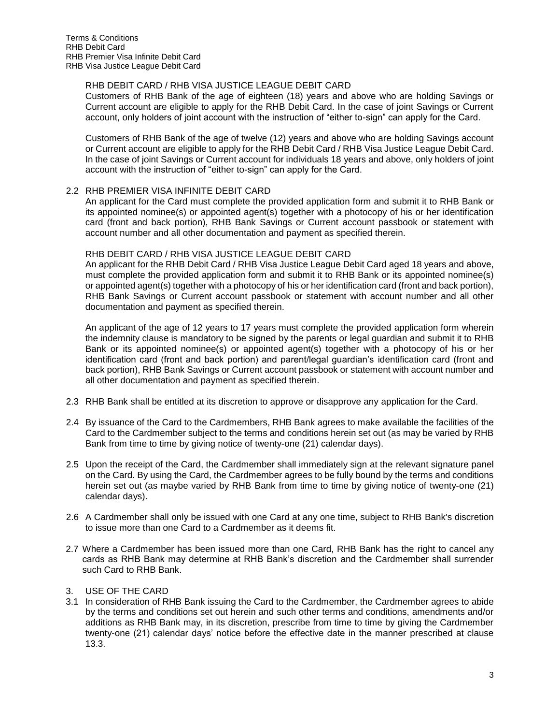# RHB DEBIT CARD / RHB VISA JUSTICE LEAGUE DEBIT CARD

Customers of RHB Bank of the age of eighteen (18) years and above who are holding Savings or Current account are eligible to apply for the RHB Debit Card. In the case of joint Savings or Current account, only holders of joint account with the instruction of "either to-sign" can apply for the Card.

Customers of RHB Bank of the age of twelve (12) years and above who are holding Savings account or Current account are eligible to apply for the RHB Debit Card / RHB Visa Justice League Debit Card. In the case of joint Savings or Current account for individuals 18 years and above, only holders of joint account with the instruction of "either to-sign" can apply for the Card.

## 2.2 RHB PREMIER VISA INFINITE DEBIT CARD

An applicant for the Card must complete the provided application form and submit it to RHB Bank or its appointed nominee(s) or appointed agent(s) together with a photocopy of his or her identification card (front and back portion), RHB Bank Savings or Current account passbook or statement with account number and all other documentation and payment as specified therein.

## RHB DEBIT CARD / RHB VISA JUSTICE LEAGUE DEBIT CARD

An applicant for the RHB Debit Card / RHB Visa Justice League Debit Card aged 18 years and above, must complete the provided application form and submit it to RHB Bank or its appointed nominee(s) or appointed agent(s) together with a photocopy of his or her identification card (front and back portion), RHB Bank Savings or Current account passbook or statement with account number and all other documentation and payment as specified therein.

An applicant of the age of 12 years to 17 years must complete the provided application form wherein the indemnity clause is mandatory to be signed by the parents or legal guardian and submit it to RHB Bank or its appointed nominee(s) or appointed agent(s) together with a photocopy of his or her identification card (front and back portion) and parent/legal guardian's identification card (front and back portion), RHB Bank Savings or Current account passbook or statement with account number and all other documentation and payment as specified therein.

- 2.3 RHB Bank shall be entitled at its discretion to approve or disapprove any application for the Card.
- 2.4 By issuance of the Card to the Cardmembers, RHB Bank agrees to make available the facilities of the Card to the Cardmember subject to the terms and conditions herein set out (as may be varied by RHB Bank from time to time by giving notice of twenty-one (21) calendar days).
- 2.5 Upon the receipt of the Card, the Cardmember shall immediately sign at the relevant signature panel on the Card. By using the Card, the Cardmember agrees to be fully bound by the terms and conditions herein set out (as maybe varied by RHB Bank from time to time by giving notice of twenty-one (21) calendar days).
- 2.6 A Cardmember shall only be issued with one Card at any one time, subject to RHB Bank's discretion to issue more than one Card to a Cardmember as it deems fit.
- 2.7 Where a Cardmember has been issued more than one Card, RHB Bank has the right to cancel any cards as RHB Bank may determine at RHB Bank's discretion and the Cardmember shall surrender such Card to RHB Bank.
- 3. USE OF THE CARD
- 3.1 In consideration of RHB Bank issuing the Card to the Cardmember, the Cardmember agrees to abide by the terms and conditions set out herein and such other terms and conditions, amendments and/or additions as RHB Bank may, in its discretion, prescribe from time to time by giving the Cardmember twenty-one (21) calendar days' notice before the effective date in the manner prescribed at clause 13.3.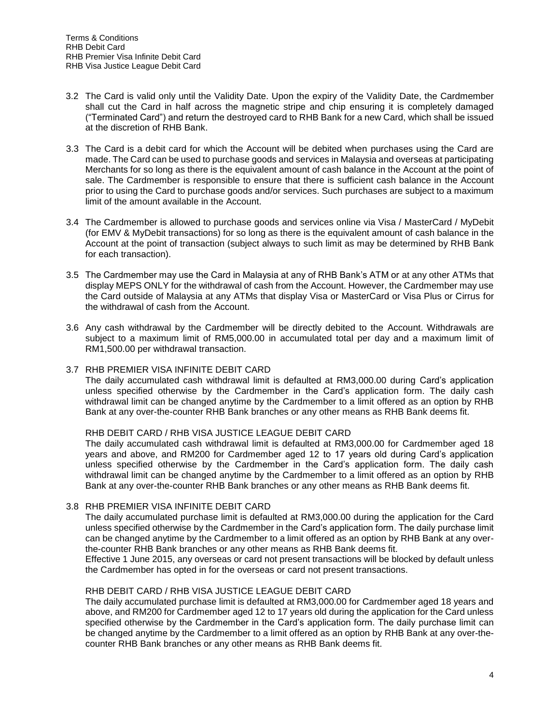- 3.2 The Card is valid only until the Validity Date. Upon the expiry of the Validity Date, the Cardmember shall cut the Card in half across the magnetic stripe and chip ensuring it is completely damaged ("Terminated Card") and return the destroyed card to RHB Bank for a new Card, which shall be issued at the discretion of RHB Bank.
- 3.3 The Card is a debit card for which the Account will be debited when purchases using the Card are made. The Card can be used to purchase goods and services in Malaysia and overseas at participating Merchants for so long as there is the equivalent amount of cash balance in the Account at the point of sale. The Cardmember is responsible to ensure that there is sufficient cash balance in the Account prior to using the Card to purchase goods and/or services. Such purchases are subject to a maximum limit of the amount available in the Account.
- 3.4 The Cardmember is allowed to purchase goods and services online via Visa / MasterCard / MyDebit (for EMV & MyDebit transactions) for so long as there is the equivalent amount of cash balance in the Account at the point of transaction (subject always to such limit as may be determined by RHB Bank for each transaction).
- 3.5 The Cardmember may use the Card in Malaysia at any of RHB Bank's ATM or at any other ATMs that display MEPS ONLY for the withdrawal of cash from the Account. However, the Cardmember may use the Card outside of Malaysia at any ATMs that display Visa or MasterCard or Visa Plus or Cirrus for the withdrawal of cash from the Account.
- 3.6 Any cash withdrawal by the Cardmember will be directly debited to the Account. Withdrawals are subject to a maximum limit of RM5,000.00 in accumulated total per day and a maximum limit of RM1,500.00 per withdrawal transaction.

## 3.7 RHB PREMIER VISA INFINITE DEBIT CARD

The daily accumulated cash withdrawal limit is defaulted at RM3,000.00 during Card's application unless specified otherwise by the Cardmember in the Card's application form. The daily cash withdrawal limit can be changed anytime by the Cardmember to a limit offered as an option by RHB Bank at any over-the-counter RHB Bank branches or any other means as RHB Bank deems fit.

## RHB DEBIT CARD / RHB VISA JUSTICE LEAGUE DEBIT CARD

The daily accumulated cash withdrawal limit is defaulted at RM3,000.00 for Cardmember aged 18 years and above, and RM200 for Cardmember aged 12 to 17 years old during Card's application unless specified otherwise by the Cardmember in the Card's application form. The daily cash withdrawal limit can be changed anytime by the Cardmember to a limit offered as an option by RHB Bank at any over-the-counter RHB Bank branches or any other means as RHB Bank deems fit.

## 3.8 RHB PREMIER VISA INFINITE DEBIT CARD

The daily accumulated purchase limit is defaulted at RM3,000.00 during the application for the Card unless specified otherwise by the Cardmember in the Card's application form. The daily purchase limit can be changed anytime by the Cardmember to a limit offered as an option by RHB Bank at any overthe-counter RHB Bank branches or any other means as RHB Bank deems fit.

Effective 1 June 2015, any overseas or card not present transactions will be blocked by default unless the Cardmember has opted in for the overseas or card not present transactions.

## RHB DEBIT CARD / RHB VISA JUSTICE LEAGUE DEBIT CARD

The daily accumulated purchase limit is defaulted at RM3,000.00 for Cardmember aged 18 years and above, and RM200 for Cardmember aged 12 to 17 years old during the application for the Card unless specified otherwise by the Cardmember in the Card's application form. The daily purchase limit can be changed anytime by the Cardmember to a limit offered as an option by RHB Bank at any over-thecounter RHB Bank branches or any other means as RHB Bank deems fit.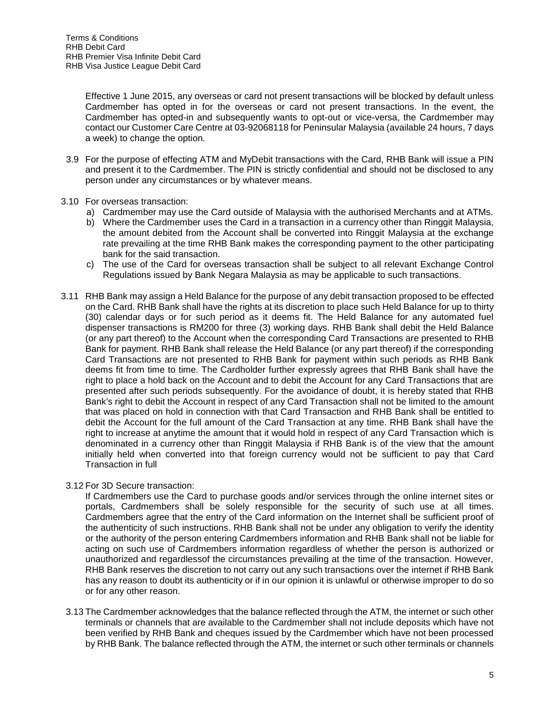Effective 1 June 2015, any overseas or card not present transactions will be blocked by default unless Cardmember has opted in for the overseas or card not present transactions. In the event, the Cardmember has opted-in and subsequently wants to opt-out or vice-versa, the Cardmember may contact our Customer Care Centre at 03-92068118 for Peninsular Malaysia (available 24 hours, 7 days a week) to change the option.

- 3.9 For the purpose of effecting ATM and MyDebit transactions with the Card, RHB Bank will issue a PIN and present it to the Cardmember. The PIN is strictly confidential and should not be disclosed to any person under any circumstances or by whatever means.
- 3.10 For overseas transaction:
	- a) Cardmember may use the Card outside of Malaysia with the authorised Merchants and at ATMs.
	- b) Where the Cardmember uses the Card in a transaction in a currency other than Ringgit Malaysia, the amount debited from the Account shall be converted into Ringgit Malaysia at the exchange rate prevailing at the time RHB Bank makes the corresponding payment to the other participating bank for the said transaction.
	- c) The use of the Card for overseas transaction shall be subject to all relevant Exchange Control Regulations issued by Bank Negara Malaysia as may be applicable to such transactions.
- 3.11 RHB Bank may assign a Held Balance for the purpose of any debit transaction proposed to be effected on the Card. RHB Bank shall have the rights at its discretion to place such Held Balance for up to thirty (30) calendar days or for such period as it deems fit. The Held Balance for any automated fuel dispenser transactions is RM200 for three (3) working days. RHB Bank shall debit the Held Balance (or any part thereof) to the Account when the corresponding Card Transactions are presented to RHB Bank for payment. RHB Bank shall release the Held Balance (or any part thereof) if the corresponding Card Transactions are not presented to RHB Bank for payment within such periods as RHB Bank deems fit from time to time. The Cardholder further expressly agrees that RHB Bank shall have the right to place a hold back on the Account and to debit the Account for any Card Transactions that are presented after such periods subsequently. For the avoidance of doubt, it is hereby stated that RHB Bank's right to debit the Account in respect of any Card Transaction shall not be limited to the amount that was placed on hold in connection with that Card Transaction and RHB Bank shall be entitled to debit the Account for the full amount of the Card Transaction at any time. RHB Bank shall have the right to increase at anytime the amount that it would hold in respect of any Card Transaction which is denominated in a currency other than Ringgit Malaysia if RHB Bank is of the view that the amount initially held when converted into that foreign currency would not be sufficient to pay that Card Transaction in full

3.12 For 3D Secure transaction:

If Cardmembers use the Card to purchase goods and/or services through the online internet sites or portals, Cardmembers shall be solely responsible for the security of such use at all times. Cardmembers agree that the entry of the Card information on the Internet shall be sufficient proof of the authenticity of such instructions. RHB Bank shall not be under any obligation to verify the identity or the authority of the person entering Cardmembers information and RHB Bank shall not be liable for acting on such use of Cardmembers information regardless of whether the person is authorized or unauthorized and regardlessof the circumstances prevailing at the time of the transaction. However, RHB Bank reserves the discretion to not carry out any such transactions over the internet if RHB Bank has any reason to doubt its authenticity or if in our opinion it is unlawful or otherwise improper to do so or for any other reason.

3.13 The Cardmember acknowledges that the balance reflected through the ATM, the internet or such other terminals or channels that are available to the Cardmember shall not include deposits which have not been verified by RHB Bank and cheques issued by the Cardmember which have not been processed by RHB Bank. The balance reflected through the ATM, the internet or such other terminals or channels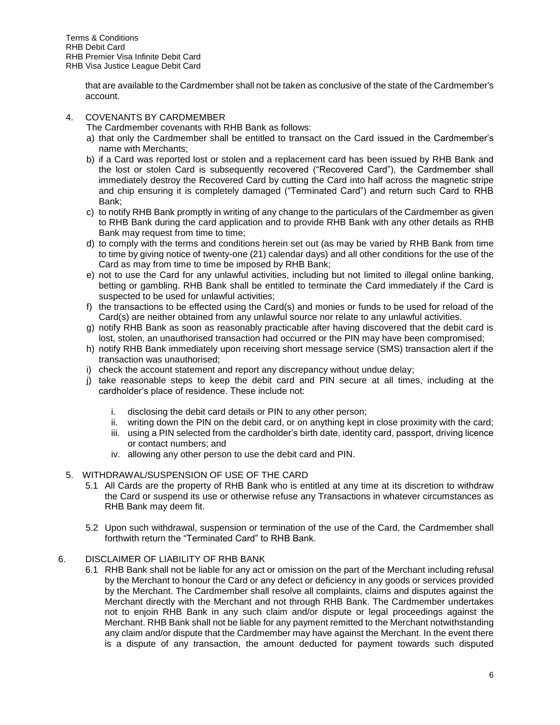that are available to the Cardmember shall not be taken as conclusive of the state of the Cardmember's account.

# 4. COVENANTS BY CARDMEMBER

The Cardmember covenants with RHB Bank as follows:

- a) that only the Cardmember shall be entitled to transact on the Card issued in the Cardmember's name with Merchants;
- b) if a Card was reported lost or stolen and a replacement card has been issued by RHB Bank and the lost or stolen Card is subsequently recovered ("Recovered Card"), the Cardmember shall immediately destroy the Recovered Card by cutting the Card into half across the magnetic stripe and chip ensuring it is completely damaged ("Terminated Card") and return such Card to RHB Bank;
- c) to notify RHB Bank promptly in writing of any change to the particulars of the Cardmember as given to RHB Bank during the card application and to provide RHB Bank with any other details as RHB Bank may request from time to time;
- d) to comply with the terms and conditions herein set out (as may be varied by RHB Bank from time to time by giving notice of twenty-one (21) calendar days) and all other conditions for the use of the Card as may from time to time be imposed by RHB Bank;
- e) not to use the Card for any unlawful activities, including but not limited to illegal online banking, betting or gambling. RHB Bank shall be entitled to terminate the Card immediately if the Card is suspected to be used for unlawful activities;
- f) the transactions to be effected using the Card(s) and monies or funds to be used for reload of the Card(s) are neither obtained from any unlawful source nor relate to any unlawful activities.
- g) notify RHB Bank as soon as reasonably practicable after having discovered that the debit card is lost, stolen, an unauthorised transaction had occurred or the PIN may have been compromised;
- h) notify RHB Bank immediately upon receiving short message service (SMS) transaction alert if the transaction was unauthorised;
- i) check the account statement and report any discrepancy without undue delay;
- j) take reasonable steps to keep the debit card and PIN secure at all times, including at the cardholder's place of residence. These include not:
	- i. disclosing the debit card details or PIN to any other person;
	- ii. writing down the PIN on the debit card, or on anything kept in close proximity with the card;
	- iii. using a PIN selected from the cardholder's birth date, identity card, passport, driving licence or contact numbers; and
	- iv. allowing any other person to use the debit card and PIN.
- 5. WITHDRAWAL/SUSPENSION OF USE OF THE CARD
	- 5.1 All Cards are the property of RHB Bank who is entitled at any time at its discretion to withdraw the Card or suspend its use or otherwise refuse any Transactions in whatever circumstances as RHB Bank may deem fit.
	- 5.2 Upon such withdrawal, suspension or termination of the use of the Card, the Cardmember shall forthwith return the "Terminated Card" to RHB Bank.

## 6. DISCLAIMER OF LIABILITY OF RHB BANK

6.1 RHB Bank shall not be liable for any act or omission on the part of the Merchant including refusal by the Merchant to honour the Card or any defect or deficiency in any goods or services provided by the Merchant. The Cardmember shall resolve all complaints, claims and disputes against the Merchant directly with the Merchant and not through RHB Bank. The Cardmember undertakes not to enjoin RHB Bank in any such claim and/or dispute or legal proceedings against the Merchant. RHB Bank shall not be liable for any payment remitted to the Merchant notwithstanding any claim and/or dispute that the Cardmember may have against the Merchant. In the event there is a dispute of any transaction, the amount deducted for payment towards such disputed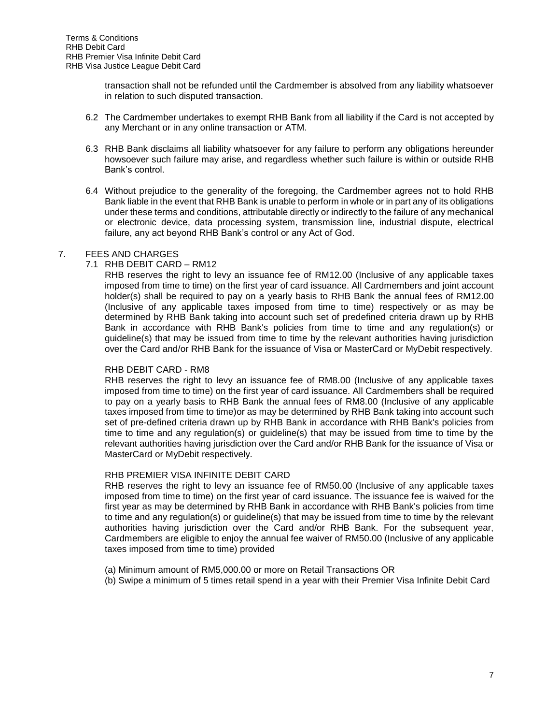transaction shall not be refunded until the Cardmember is absolved from any liability whatsoever in relation to such disputed transaction.

- 6.2 The Cardmember undertakes to exempt RHB Bank from all liability if the Card is not accepted by any Merchant or in any online transaction or ATM.
- 6.3 RHB Bank disclaims all liability whatsoever for any failure to perform any obligations hereunder howsoever such failure may arise, and regardless whether such failure is within or outside RHB Bank's control.
- 6.4 Without prejudice to the generality of the foregoing, the Cardmember agrees not to hold RHB Bank liable in the event that RHB Bank is unable to perform in whole or in part any of its obligations under these terms and conditions, attributable directly or indirectly to the failure of any mechanical or electronic device, data processing system, transmission line, industrial dispute, electrical failure, any act beyond RHB Bank's control or any Act of God.

## 7. FEES AND CHARGES

## 7.1 RHB DEBIT CARD – RM12

RHB reserves the right to levy an issuance fee of RM12.00 (Inclusive of any applicable taxes imposed from time to time) on the first year of card issuance. All Cardmembers and joint account holder(s) shall be required to pay on a yearly basis to RHB Bank the annual fees of RM12.00 (Inclusive of any applicable taxes imposed from time to time) respectively or as may be determined by RHB Bank taking into account such set of predefined criteria drawn up by RHB Bank in accordance with RHB Bank's policies from time to time and any regulation(s) or guideline(s) that may be issued from time to time by the relevant authorities having jurisdiction over the Card and/or RHB Bank for the issuance of Visa or MasterCard or MyDebit respectively.

## RHB DEBIT CARD - RM8

RHB reserves the right to levy an issuance fee of RM8.00 (Inclusive of any applicable taxes imposed from time to time) on the first year of card issuance. All Cardmembers shall be required to pay on a yearly basis to RHB Bank the annual fees of RM8.00 (Inclusive of any applicable taxes imposed from time to time)or as may be determined by RHB Bank taking into account such set of pre-defined criteria drawn up by RHB Bank in accordance with RHB Bank's policies from time to time and any regulation(s) or guideline(s) that may be issued from time to time by the relevant authorities having jurisdiction over the Card and/or RHB Bank for the issuance of Visa or MasterCard or MyDebit respectively.

## RHB PREMIER VISA INFINITE DEBIT CARD

RHB reserves the right to levy an issuance fee of RM50.00 (Inclusive of any applicable taxes imposed from time to time) on the first year of card issuance. The issuance fee is waived for the first year as may be determined by RHB Bank in accordance with RHB Bank's policies from time to time and any regulation(s) or guideline(s) that may be issued from time to time by the relevant authorities having jurisdiction over the Card and/or RHB Bank. For the subsequent year, Cardmembers are eligible to enjoy the annual fee waiver of RM50.00 (Inclusive of any applicable taxes imposed from time to time) provided

- (a) Minimum amount of RM5,000.00 or more on Retail Transactions OR
- (b) Swipe a minimum of 5 times retail spend in a year with their Premier Visa Infinite Debit Card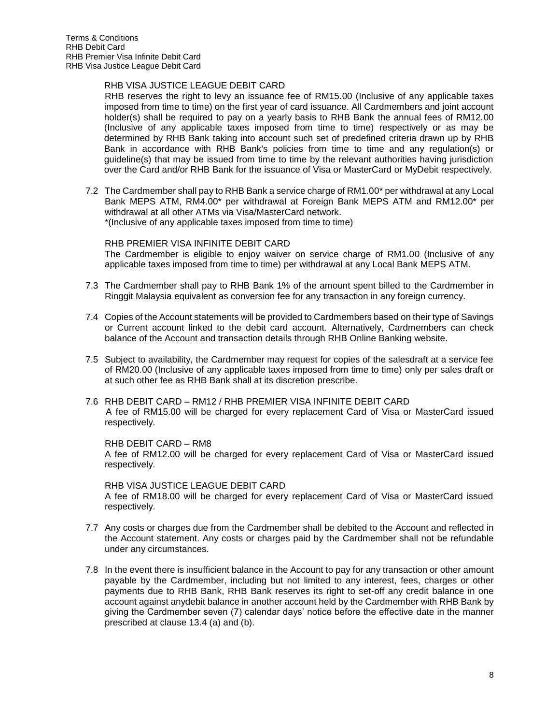## RHB VISA JUSTICE LEAGUE DEBIT CARD

RHB reserves the right to levy an issuance fee of RM15.00 (Inclusive of any applicable taxes imposed from time to time) on the first year of card issuance. All Cardmembers and joint account holder(s) shall be required to pay on a yearly basis to RHB Bank the annual fees of RM12.00 (Inclusive of any applicable taxes imposed from time to time) respectively or as may be determined by RHB Bank taking into account such set of predefined criteria drawn up by RHB Bank in accordance with RHB Bank's policies from time to time and any regulation(s) or guideline(s) that may be issued from time to time by the relevant authorities having jurisdiction over the Card and/or RHB Bank for the issuance of Visa or MasterCard or MyDebit respectively.

7.2 The Cardmember shall pay to RHB Bank a service charge of RM1.00\* per withdrawal at any Local Bank MEPS ATM, RM4.00\* per withdrawal at Foreign Bank MEPS ATM and RM12.00\* per withdrawal at all other ATMs via Visa/MasterCard network. \*(Inclusive of any applicable taxes imposed from time to time)

### RHB PREMIER VISA INFINITE DEBIT CARD

The Cardmember is eligible to enjoy waiver on service charge of RM1.00 (Inclusive of any applicable taxes imposed from time to time) per withdrawal at any Local Bank MEPS ATM.

- 7.3 The Cardmember shall pay to RHB Bank 1% of the amount spent billed to the Cardmember in Ringgit Malaysia equivalent as conversion fee for any transaction in any foreign currency.
- 7.4 Copies of the Account statements will be provided to Cardmembers based on their type of Savings or Current account linked to the debit card account. Alternatively, Cardmembers can check balance of the Account and transaction details through RHB Online Banking website.
- 7.5 Subject to availability, the Cardmember may request for copies of the salesdraft at a service fee of RM20.00 (Inclusive of any applicable taxes imposed from time to time) only per sales draft or at such other fee as RHB Bank shall at its discretion prescribe.
- 7.6 RHB DEBIT CARD RM12 / RHB PREMIER VISA INFINITE DEBIT CARD A fee of RM15.00 will be charged for every replacement Card of Visa or MasterCard issued respectively.

#### RHB DEBIT CARD – RM8

A fee of RM12.00 will be charged for every replacement Card of Visa or MasterCard issued respectively.

#### RHB VISA JUSTICE LEAGUE DEBIT CARD

A fee of RM18.00 will be charged for every replacement Card of Visa or MasterCard issued respectively.

- 7.7 Any costs or charges due from the Cardmember shall be debited to the Account and reflected in the Account statement. Any costs or charges paid by the Cardmember shall not be refundable under any circumstances.
- 7.8 In the event there is insufficient balance in the Account to pay for any transaction or other amount payable by the Cardmember, including but not limited to any interest, fees, charges or other payments due to RHB Bank, RHB Bank reserves its right to set-off any credit balance in one account against anydebit balance in another account held by the Cardmember with RHB Bank by giving the Cardmember seven (7) calendar days' notice before the effective date in the manner prescribed at clause 13.4 (a) and (b).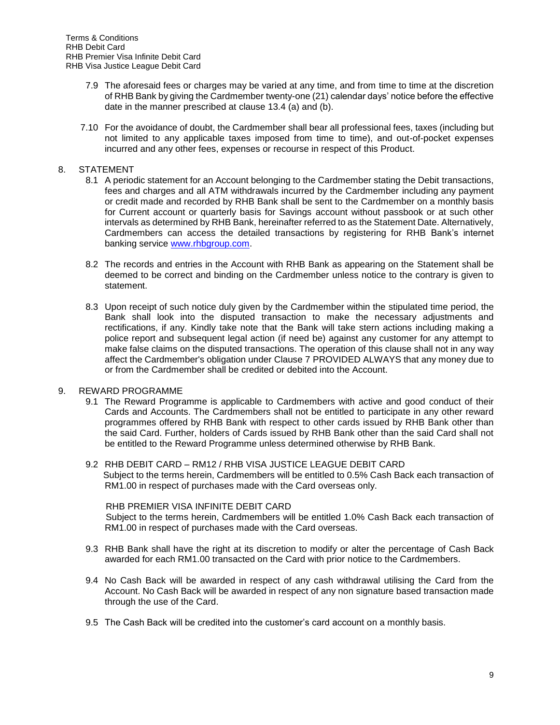- 7.9 The aforesaid fees or charges may be varied at any time, and from time to time at the discretion of RHB Bank by giving the Cardmember twenty-one (21) calendar days' notice before the effective date in the manner prescribed at clause 13.4 (a) and (b).
- 7.10 For the avoidance of doubt, the Cardmember shall bear all professional fees, taxes (including but not limited to any applicable taxes imposed from time to time), and out-of-pocket expenses incurred and any other fees, expenses or recourse in respect of this Product.

## 8. STATEMENT

- 8.1 A periodic statement for an Account belonging to the Cardmember stating the Debit transactions, fees and charges and all ATM withdrawals incurred by the Cardmember including any payment or credit made and recorded by RHB Bank shall be sent to the Cardmember on a monthly basis for Current account or quarterly basis for Savings account without passbook or at such other intervals as determined by RHB Bank, hereinafter referred to as the Statement Date. Alternatively, Cardmembers can access the detailed transactions by registering for RHB Bank's internet banking service [www.rhbgroup.com.](http://www.rhbgroup.com/)
- 8.2 The records and entries in the Account with RHB Bank as appearing on the Statement shall be deemed to be correct and binding on the Cardmember unless notice to the contrary is given to statement.
- 8.3 Upon receipt of such notice duly given by the Cardmember within the stipulated time period, the Bank shall look into the disputed transaction to make the necessary adjustments and rectifications, if any. Kindly take note that the Bank will take stern actions including making a police report and subsequent legal action (if need be) against any customer for any attempt to make false claims on the disputed transactions. The operation of this clause shall not in any way affect the Cardmember's obligation under Clause 7 PROVIDED ALWAYS that any money due to or from the Cardmember shall be credited or debited into the Account.
- 9. REWARD PROGRAMME
	- 9.1 The Reward Programme is applicable to Cardmembers with active and good conduct of their Cards and Accounts. The Cardmembers shall not be entitled to participate in any other reward programmes offered by RHB Bank with respect to other cards issued by RHB Bank other than the said Card. Further, holders of Cards issued by RHB Bank other than the said Card shall not be entitled to the Reward Programme unless determined otherwise by RHB Bank.
	- 9.2 RHB DEBIT CARD RM12 / RHB VISA JUSTICE LEAGUE DEBIT CARD Subject to the terms herein, Cardmembers will be entitled to 0.5% Cash Back each transaction of RM1.00 in respect of purchases made with the Card overseas only.

## RHB PREMIER VISA INFINITE DEBIT CARD

 Subject to the terms herein, Cardmembers will be entitled 1.0% Cash Back each transaction of RM1.00 in respect of purchases made with the Card overseas.

- 9.3 RHB Bank shall have the right at its discretion to modify or alter the percentage of Cash Back awarded for each RM1.00 transacted on the Card with prior notice to the Cardmembers.
- 9.4 No Cash Back will be awarded in respect of any cash withdrawal utilising the Card from the Account. No Cash Back will be awarded in respect of any non signature based transaction made through the use of the Card.
- 9.5 The Cash Back will be credited into the customer's card account on a monthly basis.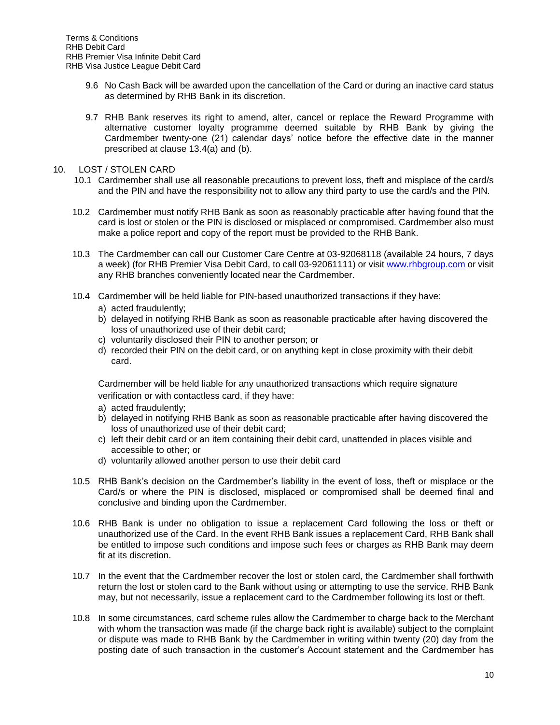- 9.6 No Cash Back will be awarded upon the cancellation of the Card or during an inactive card status as determined by RHB Bank in its discretion.
- 9.7 RHB Bank reserves its right to amend, alter, cancel or replace the Reward Programme with alternative customer loyalty programme deemed suitable by RHB Bank by giving the Cardmember twenty-one (21) calendar days' notice before the effective date in the manner prescribed at clause 13.4(a) and (b).
- 10. LOST / STOLEN CARD
	- 10.1 Cardmember shall use all reasonable precautions to prevent loss, theft and misplace of the card/s and the PIN and have the responsibility not to allow any third party to use the card/s and the PIN.
	- 10.2 Cardmember must notify RHB Bank as soon as reasonably practicable after having found that the card is lost or stolen or the PIN is disclosed or misplaced or compromised. Cardmember also must make a police report and copy of the report must be provided to the RHB Bank.
	- 10.3 The Cardmember can call our Customer Care Centre at 03-92068118 (available 24 hours, 7 days a week) (for RHB Premier Visa Debit Card, to call 03-92061111) or visit [www.rhbgroup.com](http://www.rhbgroup.com/) or visit any RHB branches conveniently located near the Cardmember.
	- 10.4 Cardmember will be held liable for PIN-based unauthorized transactions if they have:
		- a) acted fraudulently;
		- b) delayed in notifying RHB Bank as soon as reasonable practicable after having discovered the loss of unauthorized use of their debit card;
		- c) voluntarily disclosed their PIN to another person; or
		- d) recorded their PIN on the debit card, or on anything kept in close proximity with their debit card.

Cardmember will be held liable for any unauthorized transactions which require signature verification or with contactless card, if they have:

- a) acted fraudulently;
- b) delayed in notifying RHB Bank as soon as reasonable practicable after having discovered the loss of unauthorized use of their debit card;
- c) left their debit card or an item containing their debit card, unattended in places visible and accessible to other; or
- d) voluntarily allowed another person to use their debit card
- 10.5 RHB Bank's decision on the Cardmember's liability in the event of loss, theft or misplace or the Card/s or where the PIN is disclosed, misplaced or compromised shall be deemed final and conclusive and binding upon the Cardmember.
- 10.6 RHB Bank is under no obligation to issue a replacement Card following the loss or theft or unauthorized use of the Card. In the event RHB Bank issues a replacement Card, RHB Bank shall be entitled to impose such conditions and impose such fees or charges as RHB Bank may deem fit at its discretion.
- 10.7 In the event that the Cardmember recover the lost or stolen card, the Cardmember shall forthwith return the lost or stolen card to the Bank without using or attempting to use the service. RHB Bank may, but not necessarily, issue a replacement card to the Cardmember following its lost or theft.
- 10.8 In some circumstances, card scheme rules allow the Cardmember to charge back to the Merchant with whom the transaction was made (if the charge back right is available) subject to the complaint or dispute was made to RHB Bank by the Cardmember in writing within twenty (20) day from the posting date of such transaction in the customer's Account statement and the Cardmember has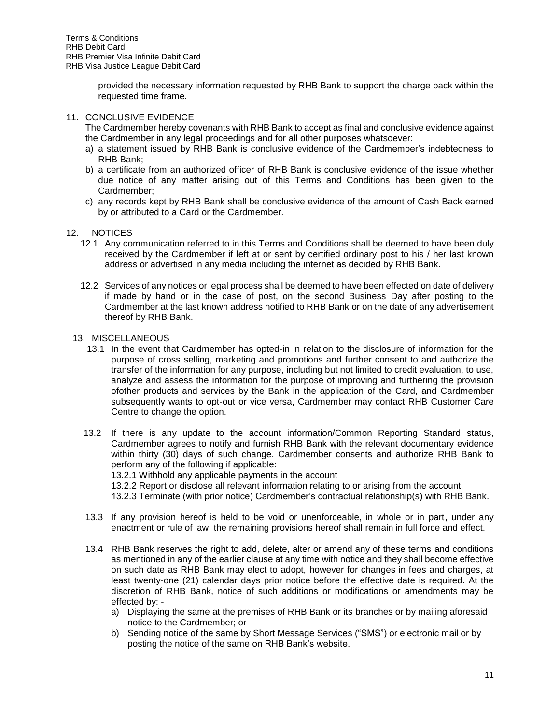provided the necessary information requested by RHB Bank to support the charge back within the requested time frame.

# 11. CONCLUSIVE EVIDENCE

The Cardmember hereby covenants with RHB Bank to accept as final and conclusive evidence against the Cardmember in any legal proceedings and for all other purposes whatsoever:

- a) a statement issued by RHB Bank is conclusive evidence of the Cardmember's indebtedness to RHB Bank;
- b) a certificate from an authorized officer of RHB Bank is conclusive evidence of the issue whether due notice of any matter arising out of this Terms and Conditions has been given to the Cardmember;
- c) any records kept by RHB Bank shall be conclusive evidence of the amount of Cash Back earned by or attributed to a Card or the Cardmember.

## 12. NOTICES

- 12.1 Any communication referred to in this Terms and Conditions shall be deemed to have been duly received by the Cardmember if left at or sent by certified ordinary post to his / her last known address or advertised in any media including the internet as decided by RHB Bank.
- 12.2 Services of any notices or legal process shall be deemed to have been effected on date of delivery if made by hand or in the case of post, on the second Business Day after posting to the Cardmember at the last known address notified to RHB Bank or on the date of any advertisement thereof by RHB Bank.

# 13. MISCELLANEOUS

- 13.1 In the event that Cardmember has opted-in in relation to the disclosure of information for the purpose of cross selling, marketing and promotions and further consent to and authorize the transfer of the information for any purpose, including but not limited to credit evaluation, to use, analyze and assess the information for the purpose of improving and furthering the provision ofother products and services by the Bank in the application of the Card, and Cardmember subsequently wants to opt-out or vice versa, Cardmember may contact RHB Customer Care Centre to change the option.
- 13.2 If there is any update to the account information/Common Reporting Standard status, Cardmember agrees to notify and furnish RHB Bank with the relevant documentary evidence within thirty (30) days of such change. Cardmember consents and authorize RHB Bank to perform any of the following if applicable:

13.2.1 Withhold any applicable payments in the account

13.2.2 Report or disclose all relevant information relating to or arising from the account.

13.2.3 Terminate (with prior notice) Cardmember's contractual relationship(s) with RHB Bank.

- 13.3 If any provision hereof is held to be void or unenforceable, in whole or in part, under any enactment or rule of law, the remaining provisions hereof shall remain in full force and effect.
- 13.4 RHB Bank reserves the right to add, delete, alter or amend any of these terms and conditions as mentioned in any of the earlier clause at any time with notice and they shall become effective on such date as RHB Bank may elect to adopt, however for changes in fees and charges, at least twenty-one (21) calendar days prior notice before the effective date is required. At the discretion of RHB Bank, notice of such additions or modifications or amendments may be effected by:
	- a) Displaying the same at the premises of RHB Bank or its branches or by mailing aforesaid notice to the Cardmember; or
	- b) Sending notice of the same by Short Message Services ("SMS") or electronic mail or by posting the notice of the same on RHB Bank's website.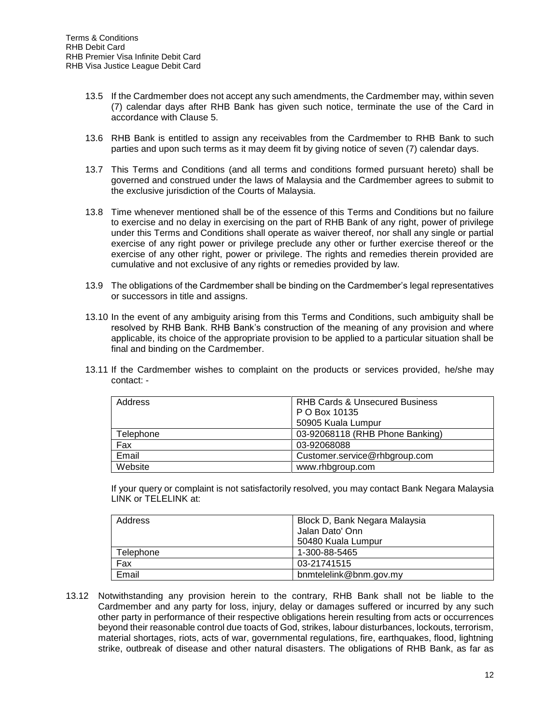- 13.5 If the Cardmember does not accept any such amendments, the Cardmember may, within seven (7) calendar days after RHB Bank has given such notice, terminate the use of the Card in accordance with Clause 5.
- 13.6 RHB Bank is entitled to assign any receivables from the Cardmember to RHB Bank to such parties and upon such terms as it may deem fit by giving notice of seven (7) calendar days.
- 13.7 This Terms and Conditions (and all terms and conditions formed pursuant hereto) shall be governed and construed under the laws of Malaysia and the Cardmember agrees to submit to the exclusive jurisdiction of the Courts of Malaysia.
- 13.8 Time whenever mentioned shall be of the essence of this Terms and Conditions but no failure to exercise and no delay in exercising on the part of RHB Bank of any right, power of privilege under this Terms and Conditions shall operate as waiver thereof, nor shall any single or partial exercise of any right power or privilege preclude any other or further exercise thereof or the exercise of any other right, power or privilege. The rights and remedies therein provided are cumulative and not exclusive of any rights or remedies provided by law.
- 13.9 The obligations of the Cardmember shall be binding on the Cardmember's legal representatives or successors in title and assigns.
- 13.10 In the event of any ambiguity arising from this Terms and Conditions, such ambiguity shall be resolved by RHB Bank. RHB Bank's construction of the meaning of any provision and where applicable, its choice of the appropriate provision to be applied to a particular situation shall be final and binding on the Cardmember.
- 13.11 If the Cardmember wishes to complaint on the products or services provided, he/she may contact: -

| Address   | <b>RHB Cards &amp; Unsecured Business</b> |
|-----------|-------------------------------------------|
|           | P O Box 10135                             |
|           | 50905 Kuala Lumpur                        |
| Telephone | 03-92068118 (RHB Phone Banking)           |
| Fax       | 03-92068088                               |
| Email     | Customer.service@rhbgroup.com             |
| Website   | www.rhbgroup.com                          |

If your query or complaint is not satisfactorily resolved, you may contact Bank Negara Malaysia LINK or TELELINK at:

| Address   | Block D, Bank Negara Malaysia |
|-----------|-------------------------------|
|           | Jalan Dato' Onn               |
|           | 50480 Kuala Lumpur            |
| Telephone | 1-300-88-5465                 |
| Fax       | 03-21741515                   |
| Email     | bnmtelelink@bnm.gov.mv        |

13.12 Notwithstanding any provision herein to the contrary, RHB Bank shall not be liable to the Cardmember and any party for loss, injury, delay or damages suffered or incurred by any such other party in performance of their respective obligations herein resulting from acts or occurrences beyond their reasonable control due toacts of God, strikes, labour disturbances, lockouts, terrorism, material shortages, riots, acts of war, governmental regulations, fire, earthquakes, flood, lightning strike, outbreak of disease and other natural disasters. The obligations of RHB Bank, as far as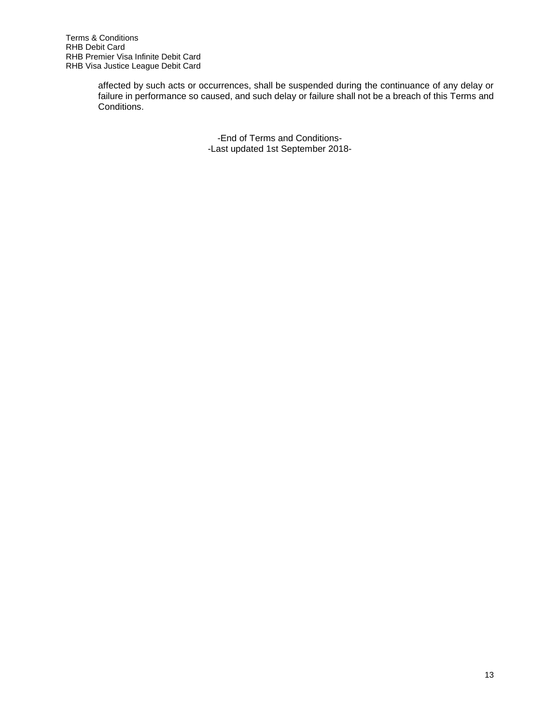affected by such acts or occurrences, shall be suspended during the continuance of any delay or failure in performance so caused, and such delay or failure shall not be a breach of this Terms and Conditions.

> -End of Terms and Conditions- -Last updated 1st September 2018-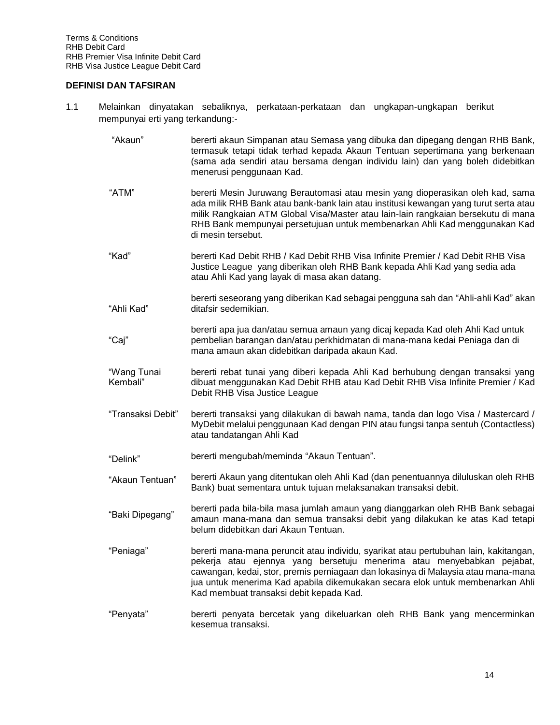## **DEFINISI DAN TAFSIRAN**

- 1.1 Melainkan dinyatakan sebaliknya, perkataan-perkataan dan ungkapan-ungkapan berikut mempunyai erti yang terkandung:-
	- "Akaun" bererti akaun Simpanan atau Semasa yang dibuka dan dipegang dengan RHB Bank, termasuk tetapi tidak terhad kepada Akaun Tentuan sepertimana yang berkenaan (sama ada sendiri atau bersama dengan individu lain) dan yang boleh didebitkan menerusi penggunaan Kad.
	- "ATM" bererti Mesin Juruwang Berautomasi atau mesin yang dioperasikan oleh kad, sama ada milik RHB Bank atau bank-bank lain atau institusi kewangan yang turut serta atau milik Rangkaian ATM Global Visa/Master atau lain-lain rangkaian bersekutu di mana RHB Bank mempunyai persetujuan untuk membenarkan Ahli Kad menggunakan Kad di mesin tersebut.
	- "Kad" bererti Kad Debit RHB / Kad Debit RHB Visa Infinite Premier / Kad Debit RHB Visa Justice League yang diberikan oleh RHB Bank kepada Ahli Kad yang sedia ada atau Ahli Kad yang layak di masa akan datang.
	- "Ahli Kad" bererti seseorang yang diberikan Kad sebagai pengguna sah dan "Ahli-ahli Kad" akan ditafsir sedemikian.
	- "Caj" bererti apa jua dan/atau semua amaun yang dicaj kepada Kad oleh Ahli Kad untuk pembelian barangan dan/atau perkhidmatan di mana-mana kedai Peniaga dan di mana amaun akan didebitkan daripada akaun Kad.
	- "Wang Tunai Kembali" bererti rebat tunai yang diberi kepada Ahli Kad berhubung dengan transaksi yang dibuat menggunakan Kad Debit RHB atau Kad Debit RHB Visa Infinite Premier / Kad Debit RHB Visa Justice League
	- "Transaksi Debit" bererti transaksi yang dilakukan di bawah nama, tanda dan logo Visa / Mastercard / MyDebit melalui penggunaan Kad dengan PIN atau fungsi tanpa sentuh (Contactless) atau tandatangan Ahli Kad
	- "Delink" bererti mengubah/meminda "Akaun Tentuan".
	- "Akaun Tentuan" bererti Akaun yang ditentukan oleh Ahli Kad (dan penentuannya diluluskan oleh RHB Bank) buat sementara untuk tujuan melaksanakan transaksi debit.
	- "Baki Dipegang" bererti pada bila-bila masa jumlah amaun yang dianggarkan oleh RHB Bank sebagai amaun mana-mana dan semua transaksi debit yang dilakukan ke atas Kad tetapi belum didebitkan dari Akaun Tentuan.
	- "Peniaga" bererti mana-mana peruncit atau individu, syarikat atau pertubuhan lain, kakitangan, pekerja atau ejennya yang bersetuju menerima atau menyebabkan pejabat, cawangan, kedai, stor, premis perniagaan dan lokasinya di Malaysia atau mana-mana jua untuk menerima Kad apabila dikemukakan secara elok untuk membenarkan Ahli Kad membuat transaksi debit kepada Kad.
	- "Penyata" bererti penyata bercetak yang dikeluarkan oleh RHB Bank yang mencerminkan kesemua transaksi.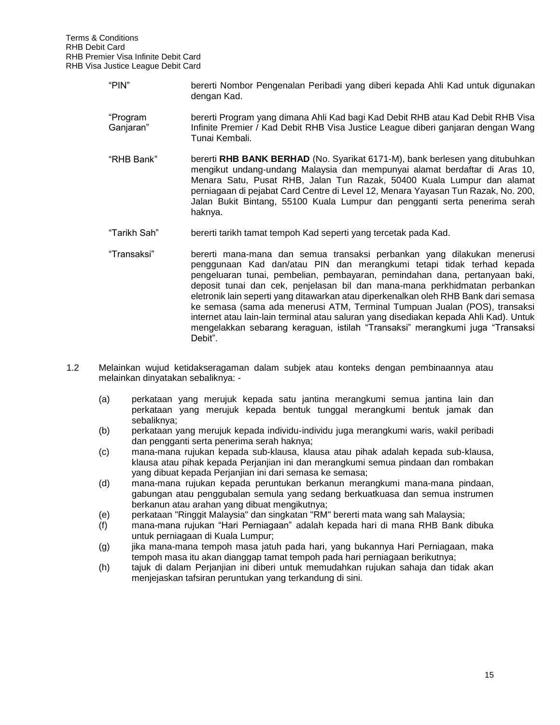- "PIN" bererti Nombor Pengenalan Peribadi yang diberi kepada Ahli Kad untuk digunakan dengan Kad.
- "Program Ganjaran" bererti Program yang dimana Ahli Kad bagi Kad Debit RHB atau Kad Debit RHB Visa Infinite Premier / Kad Debit RHB Visa Justice League diberi ganjaran dengan Wang Tunai Kembali.
- "RHB Bank" bererti **RHB BANK BERHAD** (No. Syarikat 6171-M), bank berlesen yang ditubuhkan mengikut undang-undang Malaysia dan mempunyai alamat berdaftar di Aras 10, Menara Satu, Pusat RHB, Jalan Tun Razak, 50400 Kuala Lumpur dan alamat perniagaan di pejabat Card Centre di Level 12, Menara Yayasan Tun Razak, No. 200, Jalan Bukit Bintang, 55100 Kuala Lumpur dan pengganti serta penerima serah haknya.
- "Tarikh Sah" bererti tarikh tamat tempoh Kad seperti yang tercetak pada Kad.
- "Transaksi" bererti mana-mana dan semua transaksi perbankan yang dilakukan menerusi penggunaan Kad dan/atau PIN dan merangkumi tetapi tidak terhad kepada pengeluaran tunai, pembelian, pembayaran, pemindahan dana, pertanyaan baki, deposit tunai dan cek, penjelasan bil dan mana-mana perkhidmatan perbankan eletronik lain seperti yang ditawarkan atau diperkenalkan oleh RHB Bank dari semasa ke semasa (sama ada menerusi ATM, Terminal Tumpuan Jualan (POS), transaksi internet atau lain-lain terminal atau saluran yang disediakan kepada Ahli Kad). Untuk mengelakkan sebarang keraguan, istilah "Transaksi" merangkumi juga "Transaksi Debit".
- 1.2 Melainkan wujud ketidakseragaman dalam subjek atau konteks dengan pembinaannya atau melainkan dinyatakan sebaliknya: -
	- (a) perkataan yang merujuk kepada satu jantina merangkumi semua jantina lain dan perkataan yang merujuk kepada bentuk tunggal merangkumi bentuk jamak dan sebaliknya;
	- (b) perkataan yang merujuk kepada individu-individu juga merangkumi waris, wakil peribadi dan pengganti serta penerima serah haknya;
	- (c) mana-mana rujukan kepada sub-klausa, klausa atau pihak adalah kepada sub-klausa, klausa atau pihak kepada Perjanjian ini dan merangkumi semua pindaan dan rombakan yang dibuat kepada Perjanjian ini dari semasa ke semasa;
	- (d) mana-mana rujukan kepada peruntukan berkanun merangkumi mana-mana pindaan, gabungan atau penggubalan semula yang sedang berkuatkuasa dan semua instrumen berkanun atau arahan yang dibuat mengikutnya;
	- (e) perkataan "Ringgit Malaysia" dan singkatan "RM" bererti mata wang sah Malaysia;
	- (f) mana-mana rujukan "Hari Perniagaan" adalah kepada hari di mana RHB Bank dibuka untuk perniagaan di Kuala Lumpur;
	- (g) jika mana-mana tempoh masa jatuh pada hari, yang bukannya Hari Perniagaan, maka tempoh masa itu akan dianggap tamat tempoh pada hari perniagaan berikutnya;
	- (h) tajuk di dalam Perjanjian ini diberi untuk memudahkan rujukan sahaja dan tidak akan menjejaskan tafsiran peruntukan yang terkandung di sini.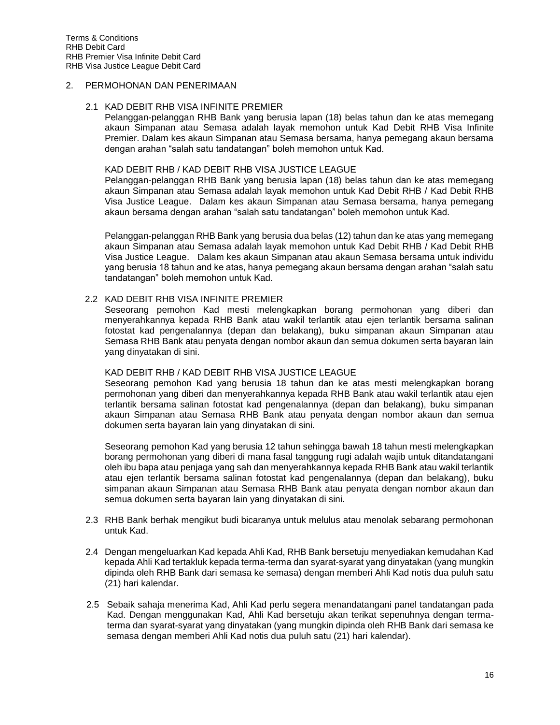# 2. PERMOHONAN DAN PENERIMAAN

#### 2.1 KAD DEBIT RHB VISA INFINITE PREMIER

Pelanggan-pelanggan RHB Bank yang berusia lapan (18) belas tahun dan ke atas memegang akaun Simpanan atau Semasa adalah layak memohon untuk Kad Debit RHB Visa Infinite Premier. Dalam kes akaun Simpanan atau Semasa bersama, hanya pemegang akaun bersama dengan arahan "salah satu tandatangan" boleh memohon untuk Kad.

#### KAD DEBIT RHB / KAD DEBIT RHB VISA JUSTICE LEAGUE

Pelanggan-pelanggan RHB Bank yang berusia lapan (18) belas tahun dan ke atas memegang akaun Simpanan atau Semasa adalah layak memohon untuk Kad Debit RHB / Kad Debit RHB Visa Justice League. Dalam kes akaun Simpanan atau Semasa bersama, hanya pemegang akaun bersama dengan arahan "salah satu tandatangan" boleh memohon untuk Kad.

Pelanggan-pelanggan RHB Bank yang berusia dua belas (12) tahun dan ke atas yang memegang akaun Simpanan atau Semasa adalah layak memohon untuk Kad Debit RHB / Kad Debit RHB Visa Justice League. Dalam kes akaun Simpanan atau akaun Semasa bersama untuk individu yang berusia 18 tahun and ke atas, hanya pemegang akaun bersama dengan arahan "salah satu tandatangan" boleh memohon untuk Kad.

#### 2.2 KAD DEBIT RHB VISA INFINITE PREMIER

Seseorang pemohon Kad mesti melengkapkan borang permohonan yang diberi dan menyerahkannya kepada RHB Bank atau wakil terlantik atau ejen terlantik bersama salinan fotostat kad pengenalannya (depan dan belakang), buku simpanan akaun Simpanan atau Semasa RHB Bank atau penyata dengan nombor akaun dan semua dokumen serta bayaran lain yang dinyatakan di sini.

## KAD DEBIT RHB / KAD DEBIT RHB VISA JUSTICE LEAGUE

Seseorang pemohon Kad yang berusia 18 tahun dan ke atas mesti melengkapkan borang permohonan yang diberi dan menyerahkannya kepada RHB Bank atau wakil terlantik atau ejen terlantik bersama salinan fotostat kad pengenalannya (depan dan belakang), buku simpanan akaun Simpanan atau Semasa RHB Bank atau penyata dengan nombor akaun dan semua dokumen serta bayaran lain yang dinyatakan di sini.

Seseorang pemohon Kad yang berusia 12 tahun sehingga bawah 18 tahun mesti melengkapkan borang permohonan yang diberi di mana fasal tanggung rugi adalah wajib untuk ditandatangani oleh ibu bapa atau penjaga yang sah dan menyerahkannya kepada RHB Bank atau wakil terlantik atau ejen terlantik bersama salinan fotostat kad pengenalannya (depan dan belakang), buku simpanan akaun Simpanan atau Semasa RHB Bank atau penyata dengan nombor akaun dan semua dokumen serta bayaran lain yang dinyatakan di sini.

- 2.3 RHB Bank berhak mengikut budi bicaranya untuk melulus atau menolak sebarang permohonan untuk Kad.
- 2.4 Dengan mengeluarkan Kad kepada Ahli Kad, RHB Bank bersetuju menyediakan kemudahan Kad kepada Ahli Kad tertakluk kepada terma-terma dan syarat-syarat yang dinyatakan (yang mungkin dipinda oleh RHB Bank dari semasa ke semasa) dengan memberi Ahli Kad notis dua puluh satu (21) hari kalendar.
- 2.5 Sebaik sahaja menerima Kad, Ahli Kad perlu segera menandatangani panel tandatangan pada Kad. Dengan menggunakan Kad, Ahli Kad bersetuju akan terikat sepenuhnya dengan termaterma dan syarat-syarat yang dinyatakan (yang mungkin dipinda oleh RHB Bank dari semasa ke semasa dengan memberi Ahli Kad notis dua puluh satu (21) hari kalendar).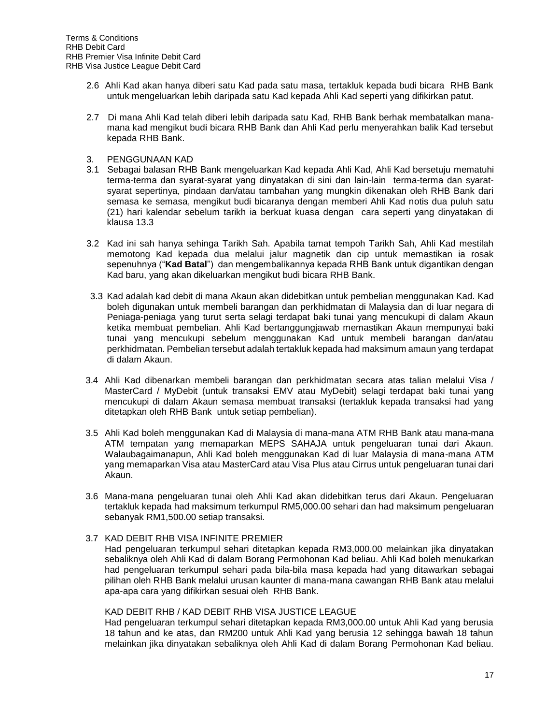- 2.6 Ahli Kad akan hanya diberi satu Kad pada satu masa, tertakluk kepada budi bicara RHB Bank untuk mengeluarkan lebih daripada satu Kad kepada Ahli Kad seperti yang difikirkan patut.
- 2.7 Di mana Ahli Kad telah diberi lebih daripada satu Kad, RHB Bank berhak membatalkan manamana kad mengikut budi bicara RHB Bank dan Ahli Kad perlu menyerahkan balik Kad tersebut kepada RHB Bank.
- 3. PENGGUNAAN KAD
- 3.1 Sebagai balasan RHB Bank mengeluarkan Kad kepada Ahli Kad, Ahli Kad bersetuju mematuhi terma-terma dan syarat-syarat yang dinyatakan di sini dan lain-lain terma-terma dan syaratsyarat sepertinya, pindaan dan/atau tambahan yang mungkin dikenakan oleh RHB Bank dari semasa ke semasa, mengikut budi bicaranya dengan memberi Ahli Kad notis dua puluh satu (21) hari kalendar sebelum tarikh ia berkuat kuasa dengan cara seperti yang dinyatakan di klausa 13.3
- 3.2 Kad ini sah hanya sehinga Tarikh Sah. Apabila tamat tempoh Tarikh Sah, Ahli Kad mestilah memotong Kad kepada dua melalui jalur magnetik dan cip untuk memastikan ia rosak sepenuhnya ("**Kad Batal**") dan mengembalikannya kepada RHB Bank untuk digantikan dengan Kad baru, yang akan dikeluarkan mengikut budi bicara RHB Bank.
- 3.3 Kad adalah kad debit di mana Akaun akan didebitkan untuk pembelian menggunakan Kad. Kad boleh digunakan untuk membeli barangan dan perkhidmatan di Malaysia dan di luar negara di Peniaga-peniaga yang turut serta selagi terdapat baki tunai yang mencukupi di dalam Akaun ketika membuat pembelian. Ahli Kad bertanggungjawab memastikan Akaun mempunyai baki tunai yang mencukupi sebelum menggunakan Kad untuk membeli barangan dan/atau perkhidmatan. Pembelian tersebut adalah tertakluk kepada had maksimum amaun yang terdapat di dalam Akaun.
- 3.4 Ahli Kad dibenarkan membeli barangan dan perkhidmatan secara atas talian melalui Visa / MasterCard / MyDebit (untuk transaksi EMV atau MyDebit) selagi terdapat baki tunai yang mencukupi di dalam Akaun semasa membuat transaksi (tertakluk kepada transaksi had yang ditetapkan oleh RHB Bank untuk setiap pembelian).
- 3.5 Ahli Kad boleh menggunakan Kad di Malaysia di mana-mana ATM RHB Bank atau mana-mana ATM tempatan yang memaparkan MEPS SAHAJA untuk pengeluaran tunai dari Akaun. Walaubagaimanapun, Ahli Kad boleh menggunakan Kad di luar Malaysia di mana-mana ATM yang memaparkan Visa atau MasterCard atau Visa Plus atau Cirrus untuk pengeluaran tunai dari Akaun.
- 3.6 Mana-mana pengeluaran tunai oleh Ahli Kad akan didebitkan terus dari Akaun. Pengeluaran tertakluk kepada had maksimum terkumpul RM5,000.00 sehari dan had maksimum pengeluaran sebanyak RM1,500.00 setiap transaksi.

## 3.7 KAD DEBIT RHB VISA INFINITE PREMIER

Had pengeluaran terkumpul sehari ditetapkan kepada RM3,000.00 melainkan jika dinyatakan sebaliknya oleh Ahli Kad di dalam Borang Permohonan Kad beliau. Ahli Kad boleh menukarkan had pengeluaran terkumpul sehari pada bila-bila masa kepada had yang ditawarkan sebagai pilihan oleh RHB Bank melalui urusan kaunter di mana-mana cawangan RHB Bank atau melalui apa-apa cara yang difikirkan sesuai oleh RHB Bank.

#### KAD DEBIT RHB / KAD DEBIT RHB VISA JUSTICE LEAGUE

Had pengeluaran terkumpul sehari ditetapkan kepada RM3,000.00 untuk Ahli Kad yang berusia 18 tahun and ke atas, dan RM200 untuk Ahli Kad yang berusia 12 sehingga bawah 18 tahun melainkan jika dinyatakan sebaliknya oleh Ahli Kad di dalam Borang Permohonan Kad beliau.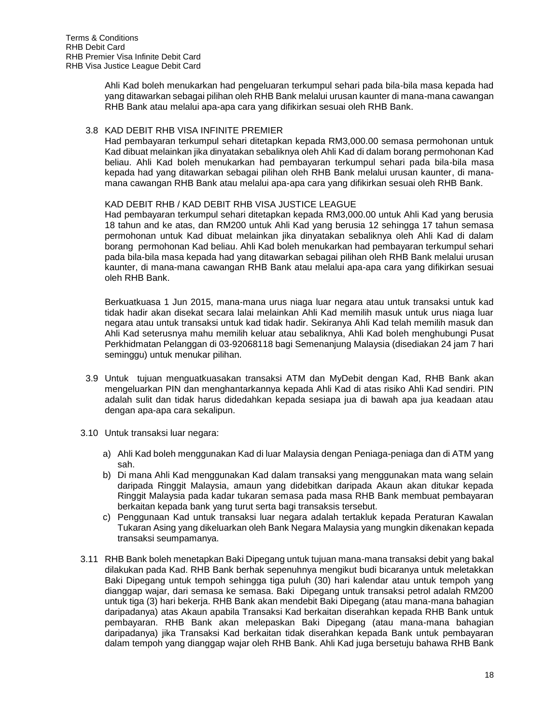Ahli Kad boleh menukarkan had pengeluaran terkumpul sehari pada bila-bila masa kepada had yang ditawarkan sebagai pilihan oleh RHB Bank melalui urusan kaunter di mana-mana cawangan RHB Bank atau melalui apa-apa cara yang difikirkan sesuai oleh RHB Bank.

## 3.8 KAD DEBIT RHB VISA INFINITE PREMIER

Had pembayaran terkumpul sehari ditetapkan kepada RM3,000.00 semasa permohonan untuk Kad dibuat melainkan jika dinyatakan sebaliknya oleh Ahli Kad di dalam borang permohonan Kad beliau. Ahli Kad boleh menukarkan had pembayaran terkumpul sehari pada bila-bila masa kepada had yang ditawarkan sebagai pilihan oleh RHB Bank melalui urusan kaunter, di manamana cawangan RHB Bank atau melalui apa-apa cara yang difikirkan sesuai oleh RHB Bank.

## KAD DEBIT RHB / KAD DEBIT RHB VISA JUSTICE LEAGUE

Had pembayaran terkumpul sehari ditetapkan kepada RM3,000.00 untuk Ahli Kad yang berusia 18 tahun and ke atas, dan RM200 untuk Ahli Kad yang berusia 12 sehingga 17 tahun semasa permohonan untuk Kad dibuat melainkan jika dinyatakan sebaliknya oleh Ahli Kad di dalam borang permohonan Kad beliau. Ahli Kad boleh menukarkan had pembayaran terkumpul sehari pada bila-bila masa kepada had yang ditawarkan sebagai pilihan oleh RHB Bank melalui urusan kaunter, di mana-mana cawangan RHB Bank atau melalui apa-apa cara yang difikirkan sesuai oleh RHB Bank.

Berkuatkuasa 1 Jun 2015, mana-mana urus niaga luar negara atau untuk transaksi untuk kad tidak hadir akan disekat secara lalai melainkan Ahli Kad memilih masuk untuk urus niaga luar negara atau untuk transaksi untuk kad tidak hadir. Sekiranya Ahli Kad telah memilih masuk dan Ahli Kad seterusnya mahu memilih keluar atau sebaliknya, Ahli Kad boleh menghubungi Pusat Perkhidmatan Pelanggan di 03-92068118 bagi Semenanjung Malaysia (disediakan 24 jam 7 hari seminggu) untuk menukar pilihan.

- 3.9 Untuk tujuan menguatkuasakan transaksi ATM dan MyDebit dengan Kad, RHB Bank akan mengeluarkan PIN dan menghantarkannya kepada Ahli Kad di atas risiko Ahli Kad sendiri. PIN adalah sulit dan tidak harus didedahkan kepada sesiapa jua di bawah apa jua keadaan atau dengan apa-apa cara sekalipun.
- 3.10 Untuk transaksi luar negara:
	- a) Ahli Kad boleh menggunakan Kad di luar Malaysia dengan Peniaga-peniaga dan di ATM yang sah.
	- b) Di mana Ahli Kad menggunakan Kad dalam transaksi yang menggunakan mata wang selain daripada Ringgit Malaysia, amaun yang didebitkan daripada Akaun akan ditukar kepada Ringgit Malaysia pada kadar tukaran semasa pada masa RHB Bank membuat pembayaran berkaitan kepada bank yang turut serta bagi transaksis tersebut.
	- c) Penggunaan Kad untuk transaksi luar negara adalah tertakluk kepada Peraturan Kawalan Tukaran Asing yang dikeluarkan oleh Bank Negara Malaysia yang mungkin dikenakan kepada transaksi seumpamanya.
- 3.11 RHB Bank boleh menetapkan Baki Dipegang untuk tujuan mana-mana transaksi debit yang bakal dilakukan pada Kad. RHB Bank berhak sepenuhnya mengikut budi bicaranya untuk meletakkan Baki Dipegang untuk tempoh sehingga tiga puluh (30) hari kalendar atau untuk tempoh yang dianggap wajar, dari semasa ke semasa. Baki Dipegang untuk transaksi petrol adalah RM200 untuk tiga (3) hari bekerja. RHB Bank akan mendebit Baki Dipegang (atau mana-mana bahagian daripadanya) atas Akaun apabila Transaksi Kad berkaitan diserahkan kepada RHB Bank untuk pembayaran. RHB Bank akan melepaskan Baki Dipegang (atau mana-mana bahagian daripadanya) jika Transaksi Kad berkaitan tidak diserahkan kepada Bank untuk pembayaran dalam tempoh yang dianggap wajar oleh RHB Bank. Ahli Kad juga bersetuju bahawa RHB Bank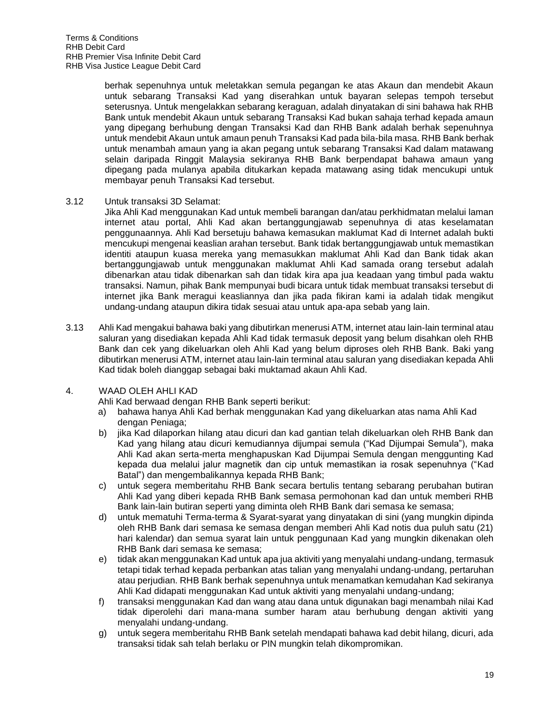berhak sepenuhnya untuk meletakkan semula pegangan ke atas Akaun dan mendebit Akaun untuk sebarang Transaksi Kad yang diserahkan untuk bayaran selepas tempoh tersebut seterusnya. Untuk mengelakkan sebarang keraguan, adalah dinyatakan di sini bahawa hak RHB Bank untuk mendebit Akaun untuk sebarang Transaksi Kad bukan sahaja terhad kepada amaun yang dipegang berhubung dengan Transaksi Kad dan RHB Bank adalah berhak sepenuhnya untuk mendebit Akaun untuk amaun penuh Transaksi Kad pada bila-bila masa. RHB Bank berhak untuk menambah amaun yang ia akan pegang untuk sebarang Transaksi Kad dalam matawang selain daripada Ringgit Malaysia sekiranya RHB Bank berpendapat bahawa amaun yang dipegang pada mulanya apabila ditukarkan kepada matawang asing tidak mencukupi untuk membayar penuh Transaksi Kad tersebut.

3.12 Untuk transaksi 3D Selamat:

Jika Ahli Kad menggunakan Kad untuk membeli barangan dan/atau perkhidmatan melalui laman internet atau portal, Ahli Kad akan bertanggungjawab sepenuhnya di atas keselamatan penggunaannya. Ahli Kad bersetuju bahawa kemasukan maklumat Kad di Internet adalah bukti mencukupi mengenai keaslian arahan tersebut. Bank tidak bertanggungjawab untuk memastikan identiti ataupun kuasa mereka yang memasukkan maklumat Ahli Kad dan Bank tidak akan bertanggungjawab untuk menggunakan maklumat Ahli Kad samada orang tersebut adalah dibenarkan atau tidak dibenarkan sah dan tidak kira apa jua keadaan yang timbul pada waktu transaksi. Namun, pihak Bank mempunyai budi bicara untuk tidak membuat transaksi tersebut di internet jika Bank meragui keasliannya dan jika pada fikiran kami ia adalah tidak mengikut undang-undang ataupun dikira tidak sesuai atau untuk apa-apa sebab yang lain.

3.13 Ahli Kad mengakui bahawa baki yang dibutirkan menerusi ATM, internet atau lain-lain terminal atau saluran yang disediakan kepada Ahli Kad tidak termasuk deposit yang belum disahkan oleh RHB Bank dan cek yang dikeluarkan oleh Ahli Kad yang belum diproses oleh RHB Bank. Baki yang dibutirkan menerusi ATM, internet atau lain-lain terminal atau saluran yang disediakan kepada Ahli Kad tidak boleh dianggap sebagai baki muktamad akaun Ahli Kad.

## 4. WAAD OLEH AHLI KAD

Ahli Kad berwaad dengan RHB Bank seperti berikut:

- a) bahawa hanya Ahli Kad berhak menggunakan Kad yang dikeluarkan atas nama Ahli Kad dengan Peniaga;
- b) jika Kad dilaporkan hilang atau dicuri dan kad gantian telah dikeluarkan oleh RHB Bank dan Kad yang hilang atau dicuri kemudiannya dijumpai semula ("Kad Dijumpai Semula"), maka Ahli Kad akan serta-merta menghapuskan Kad Dijumpai Semula dengan menggunting Kad kepada dua melalui jalur magnetik dan cip untuk memastikan ia rosak sepenuhnya ("Kad Batal") dan mengembalikannya kepada RHB Bank;
- c) untuk segera memberitahu RHB Bank secara bertulis tentang sebarang perubahan butiran Ahli Kad yang diberi kepada RHB Bank semasa permohonan kad dan untuk memberi RHB Bank lain-lain butiran seperti yang diminta oleh RHB Bank dari semasa ke semasa;
- d) untuk mematuhi Terma-terma & Syarat-syarat yang dinyatakan di sini (yang mungkin dipinda oleh RHB Bank dari semasa ke semasa dengan memberi Ahli Kad notis dua puluh satu (21) hari kalendar) dan semua syarat lain untuk penggunaan Kad yang mungkin dikenakan oleh RHB Bank dari semasa ke semasa;
- e) tidak akan menggunakan Kad untuk apa jua aktiviti yang menyalahi undang-undang, termasuk tetapi tidak terhad kepada perbankan atas talian yang menyalahi undang-undang, pertaruhan atau perjudian. RHB Bank berhak sepenuhnya untuk menamatkan kemudahan Kad sekiranya Ahli Kad didapati menggunakan Kad untuk aktiviti yang menyalahi undang-undang;
- f) transaksi menggunakan Kad dan wang atau dana untuk digunakan bagi menambah nilai Kad tidak diperolehi dari mana-mana sumber haram atau berhubung dengan aktiviti yang menyalahi undang-undang.
- g) untuk segera memberitahu RHB Bank setelah mendapati bahawa kad debit hilang, dicuri, ada transaksi tidak sah telah berlaku or PIN mungkin telah dikompromikan.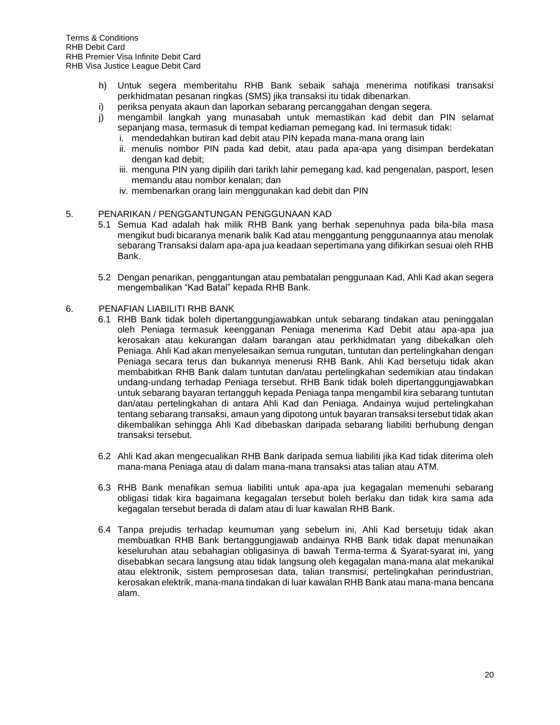- h) Untuk segera memberitahu RHB Bank sebaik sahaja menerima notifikasi transaksi perkhidmatan pesanan ringkas (SMS) jika transaksi itu tidak dibenarkan.
- i) periksa penyata akaun dan laporkan sebarang percanggahan dengan segera.
- j) mengambil langkah yang munasabah untuk memastikan kad debit dan PIN selamat sepanjang masa, termasuk di tempat kediaman pemegang kad. Ini termasuk tidak:
	- i. mendedahkan butiran kad debit atau PIN kepada mana-mana orang lain
	- ii. menulis nombor PIN pada kad debit, atau pada apa-apa yang disimpan berdekatan dengan kad debit;
	- iii. menguna PIN yang dipilih dari tarikh lahir pemegang kad, kad pengenalan, pasport, lesen memandu atau nombor kenalan; dan
	- iv. membenarkan orang lain menggunakan kad debit dan PIN

## 5. PENARIKAN / PENGGANTUNGAN PENGGUNAAN KAD

- 5.1 Semua Kad adalah hak milik RHB Bank yang berhak sepenuhnya pada bila-bila masa mengikut budi bicaranya menarik balik Kad atau menggantung penggunaannya atau menolak sebarang Transaksi dalam apa-apa jua keadaan sepertimana yang difikirkan sesuai oleh RHB Bank.
- 5.2 Dengan penarikan, penggantungan atau pembatalan penggunaan Kad, Ahli Kad akan segera mengembalikan "Kad Batal" kepada RHB Bank.

#### 6. PENAFIAN LIABILITI RHB BANK

- 6.1 RHB Bank tidak boleh dipertanggungjawabkan untuk sebarang tindakan atau peninggalan oleh Peniaga termasuk keengganan Peniaga menerima Kad Debit atau apa-apa jua kerosakan atau kekurangan dalam barangan atau perkhidmatan yang dibekalkan oleh Peniaga. Ahli Kad akan menyelesaikan semua rungutan, tuntutan dan pertelingkahan dengan Peniaga secara terus dan bukannya menerusi RHB Bank. Ahli Kad bersetuju tidak akan membabitkan RHB Bank dalam tuntutan dan/atau pertelingkahan sedemikian atau tindakan undang-undang terhadap Peniaga tersebut. RHB Bank tidak boleh dipertanggungjawabkan untuk sebarang bayaran tertangguh kepada Peniaga tanpa mengambil kira sebarang tuntutan dan/atau pertelingkahan di antara Ahli Kad dan Peniaga. Andainya wujud pertelingkahan tentang sebarang transaksi, amaun yang dipotong untuk bayaran transaksi tersebut tidak akan dikembalikan sehingga Ahli Kad dibebaskan daripada sebarang liabiliti berhubung dengan transaksi tersebut.
- 6.2 Ahli Kad akan mengecualikan RHB Bank daripada semua liabiliti jika Kad tidak diterima oleh mana-mana Peniaga atau di dalam mana-mana transaksi atas talian atau ATM.
- 6.3 RHB Bank menafikan semua liabiliti untuk apa-apa jua kegagalan memenuhi sebarang obligasi tidak kira bagaimana kegagalan tersebut boleh berlaku dan tidak kira sama ada kegagalan tersebut berada di dalam atau di luar kawalan RHB Bank.
- 6.4 Tanpa prejudis terhadap keumuman yang sebelum ini, Ahli Kad bersetuju tidak akan membuatkan RHB Bank bertanggungjawab andainya RHB Bank tidak dapat menunaikan keseluruhan atau sebahagian obligasinya di bawah Terma-terma & Syarat-syarat ini, yang disebabkan secara langsung atau tidak langsung oleh kegagalan mana-mana alat mekanikal atau elektronik, sistem pemprosesan data, talian transmisi, pertelingkahan perindustrian, kerosakan elektrik, mana-mana tindakan di luar kawalan RHB Bank atau mana-mana bencana alam.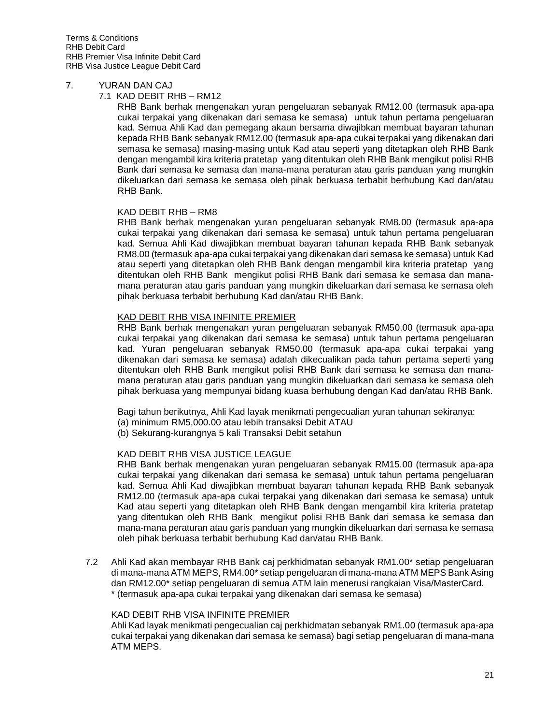#### 7. YURAN DAN CAJ

#### 7.1 KAD DEBIT RHB – RM12

RHB Bank berhak mengenakan yuran pengeluaran sebanyak RM12.00 (termasuk apa-apa cukai terpakai yang dikenakan dari semasa ke semasa) untuk tahun pertama pengeluaran kad. Semua Ahli Kad dan pemegang akaun bersama diwajibkan membuat bayaran tahunan kepada RHB Bank sebanyak RM12.00 (termasuk apa-apa cukai terpakai yang dikenakan dari semasa ke semasa) masing-masing untuk Kad atau seperti yang ditetapkan oleh RHB Bank dengan mengambil kira kriteria pratetap yang ditentukan oleh RHB Bank mengikut polisi RHB Bank dari semasa ke semasa dan mana-mana peraturan atau garis panduan yang mungkin dikeluarkan dari semasa ke semasa oleh pihak berkuasa terbabit berhubung Kad dan/atau RHB Bank.

## KAD DEBIT RHB – RM8

RHB Bank berhak mengenakan yuran pengeluaran sebanyak RM8.00 (termasuk apa-apa cukai terpakai yang dikenakan dari semasa ke semasa) untuk tahun pertama pengeluaran kad. Semua Ahli Kad diwajibkan membuat bayaran tahunan kepada RHB Bank sebanyak RM8.00 (termasuk apa-apa cukai terpakai yang dikenakan dari semasa ke semasa) untuk Kad atau seperti yang ditetapkan oleh RHB Bank dengan mengambil kira kriteria pratetap yang ditentukan oleh RHB Bank mengikut polisi RHB Bank dari semasa ke semasa dan manamana peraturan atau garis panduan yang mungkin dikeluarkan dari semasa ke semasa oleh pihak berkuasa terbabit berhubung Kad dan/atau RHB Bank.

## KAD DEBIT RHB VISA INFINITE PREMIER

RHB Bank berhak mengenakan yuran pengeluaran sebanyak RM50.00 (termasuk apa-apa cukai terpakai yang dikenakan dari semasa ke semasa) untuk tahun pertama pengeluaran kad. Yuran pengeluaran sebanyak RM50.00 (termasuk apa-apa cukai terpakai yang dikenakan dari semasa ke semasa) adalah dikecualikan pada tahun pertama seperti yang ditentukan oleh RHB Bank mengikut polisi RHB Bank dari semasa ke semasa dan manamana peraturan atau garis panduan yang mungkin dikeluarkan dari semasa ke semasa oleh pihak berkuasa yang mempunyai bidang kuasa berhubung dengan Kad dan/atau RHB Bank.

Bagi tahun berikutnya, Ahli Kad layak menikmati pengecualian yuran tahunan sekiranya:

- (a) minimum RM5,000.00 atau lebih transaksi Debit ATAU
- (b) Sekurang-kurangnya 5 kali Transaksi Debit setahun

## KAD DEBIT RHB VISA JUSTICE LEAGUE

RHB Bank berhak mengenakan yuran pengeluaran sebanyak RM15.00 (termasuk apa-apa cukai terpakai yang dikenakan dari semasa ke semasa) untuk tahun pertama pengeluaran kad. Semua Ahli Kad diwajibkan membuat bayaran tahunan kepada RHB Bank sebanyak RM12.00 (termasuk apa-apa cukai terpakai yang dikenakan dari semasa ke semasa) untuk Kad atau seperti yang ditetapkan oleh RHB Bank dengan mengambil kira kriteria pratetap yang ditentukan oleh RHB Bank mengikut polisi RHB Bank dari semasa ke semasa dan mana-mana peraturan atau garis panduan yang mungkin dikeluarkan dari semasa ke semasa oleh pihak berkuasa terbabit berhubung Kad dan/atau RHB Bank.

7.2 Ahli Kad akan membayar RHB Bank caj perkhidmatan sebanyak RM1.00\* setiap pengeluaran di mana-mana ATM MEPS, RM4.00\* setiap pengeluaran di mana-mana ATM MEPS Bank Asing dan RM12.00\* setiap pengeluaran di semua ATM lain menerusi rangkaian Visa/MasterCard. \* (termasuk apa-apa cukai terpakai yang dikenakan dari semasa ke semasa)

## KAD DEBIT RHB VISA INFINITE PREMIER

Ahli Kad layak menikmati pengecualian caj perkhidmatan sebanyak RM1.00 (termasuk apa-apa cukai terpakai yang dikenakan dari semasa ke semasa) bagi setiap pengeluaran di mana-mana ATM MEPS.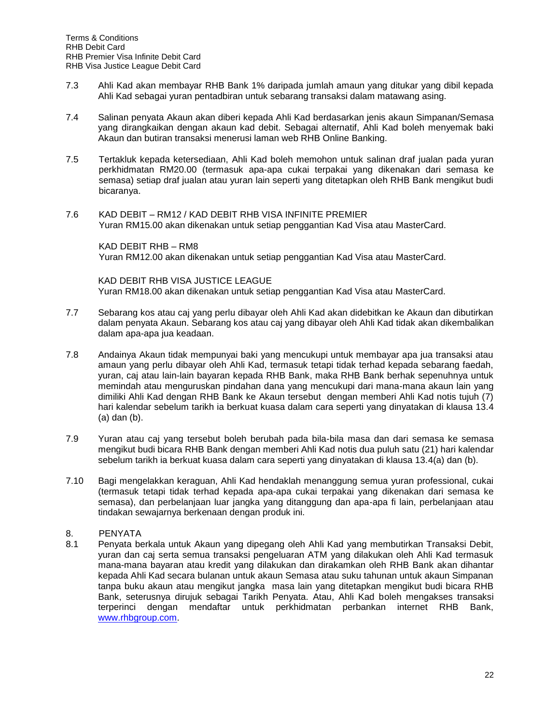- 7.3 Ahli Kad akan membayar RHB Bank 1% daripada jumlah amaun yang ditukar yang dibil kepada Ahli Kad sebagai yuran pentadbiran untuk sebarang transaksi dalam matawang asing.
- 7.4 Salinan penyata Akaun akan diberi kepada Ahli Kad berdasarkan jenis akaun Simpanan/Semasa yang dirangkaikan dengan akaun kad debit. Sebagai alternatif, Ahli Kad boleh menyemak baki Akaun dan butiran transaksi menerusi laman web RHB Online Banking.
- 7.5 Tertakluk kepada ketersediaan, Ahli Kad boleh memohon untuk salinan draf jualan pada yuran perkhidmatan RM20.00 (termasuk apa-apa cukai terpakai yang dikenakan dari semasa ke semasa) setiap draf jualan atau yuran lain seperti yang ditetapkan oleh RHB Bank mengikut budi bicaranya.
- 7.6 KAD DEBIT RM12 / KAD DEBIT RHB VISA INFINITE PREMIER Yuran RM15.00 akan dikenakan untuk setiap penggantian Kad Visa atau MasterCard.

KAD DEBIT RHB – RM8 Yuran RM12.00 akan dikenakan untuk setiap penggantian Kad Visa atau MasterCard.

KAD DEBIT RHB VISA JUSTICE LEAGUE Yuran RM18.00 akan dikenakan untuk setiap penggantian Kad Visa atau MasterCard.

- 7.7 Sebarang kos atau caj yang perlu dibayar oleh Ahli Kad akan didebitkan ke Akaun dan dibutirkan dalam penyata Akaun. Sebarang kos atau caj yang dibayar oleh Ahli Kad tidak akan dikembalikan dalam apa-apa jua keadaan.
- 7.8 Andainya Akaun tidak mempunyai baki yang mencukupi untuk membayar apa jua transaksi atau amaun yang perlu dibayar oleh Ahli Kad, termasuk tetapi tidak terhad kepada sebarang faedah, yuran, caj atau lain-lain bayaran kepada RHB Bank, maka RHB Bank berhak sepenuhnya untuk memindah atau menguruskan pindahan dana yang mencukupi dari mana-mana akaun lain yang dimiliki Ahli Kad dengan RHB Bank ke Akaun tersebut dengan memberi Ahli Kad notis tujuh (7) hari kalendar sebelum tarikh ia berkuat kuasa dalam cara seperti yang dinyatakan di klausa 13.4 (a) dan (b).
- 7.9 Yuran atau caj yang tersebut boleh berubah pada bila-bila masa dan dari semasa ke semasa mengikut budi bicara RHB Bank dengan memberi Ahli Kad notis dua puluh satu (21) hari kalendar sebelum tarikh ia berkuat kuasa dalam cara seperti yang dinyatakan di klausa 13.4(a) dan (b).
- 7.10 Bagi mengelakkan keraguan, Ahli Kad hendaklah menanggung semua yuran professional, cukai (termasuk tetapi tidak terhad kepada apa-apa cukai terpakai yang dikenakan dari semasa ke semasa), dan perbelanjaan luar jangka yang ditanggung dan apa-apa fi lain, perbelanjaan atau tindakan sewajarnya berkenaan dengan produk ini.

# 8. PENYATA

8.1 Penyata berkala untuk Akaun yang dipegang oleh Ahli Kad yang membutirkan Transaksi Debit, yuran dan caj serta semua transaksi pengeluaran ATM yang dilakukan oleh Ahli Kad termasuk mana-mana bayaran atau kredit yang dilakukan dan dirakamkan oleh RHB Bank akan dihantar kepada Ahli Kad secara bulanan untuk akaun Semasa atau suku tahunan untuk akaun Simpanan tanpa buku akaun atau mengikut jangka masa lain yang ditetapkan mengikut budi bicara RHB Bank, seterusnya dirujuk sebagai Tarikh Penyata. Atau, Ahli Kad boleh mengakses transaksi terperinci dengan mendaftar untuk perkhidmatan perbankan internet RHB Bank, [www.rhbgroup.com.](http://www.rhbgroup.com/)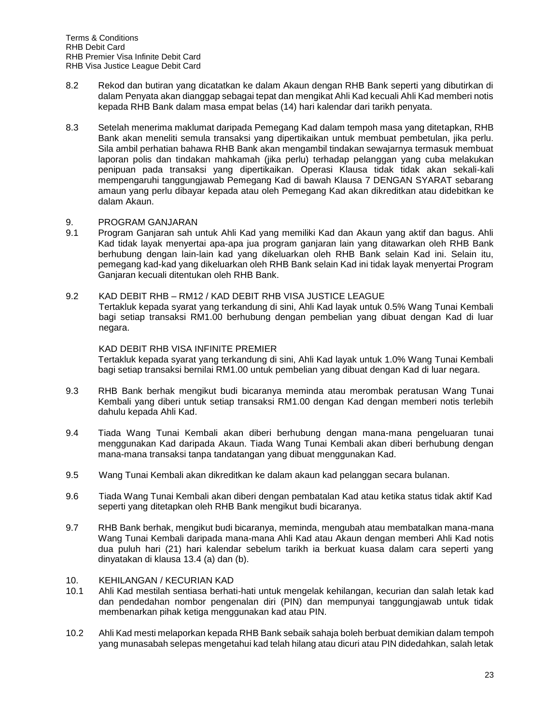- 8.2 Rekod dan butiran yang dicatatkan ke dalam Akaun dengan RHB Bank seperti yang dibutirkan di dalam Penyata akan dianggap sebagai tepat dan mengikat Ahli Kad kecuali Ahli Kad memberi notis kepada RHB Bank dalam masa empat belas (14) hari kalendar dari tarikh penyata.
- 8.3 Setelah menerima maklumat daripada Pemegang Kad dalam tempoh masa yang ditetapkan, RHB Bank akan meneliti semula transaksi yang dipertikaikan untuk membuat pembetulan, jika perlu. Sila ambil perhatian bahawa RHB Bank akan mengambil tindakan sewajarnya termasuk membuat laporan polis dan tindakan mahkamah (jika perlu) terhadap pelanggan yang cuba melakukan penipuan pada transaksi yang dipertikaikan. Operasi Klausa tidak tidak akan sekali-kali mempengaruhi tanggungjawab Pemegang Kad di bawah Klausa 7 DENGAN SYARAT sebarang amaun yang perlu dibayar kepada atau oleh Pemegang Kad akan dikreditkan atau didebitkan ke dalam Akaun.

## 9. PROGRAM GANJARAN

9.1 Program Ganjaran sah untuk Ahli Kad yang memiliki Kad dan Akaun yang aktif dan bagus. Ahli Kad tidak layak menyertai apa-apa jua program ganjaran lain yang ditawarkan oleh RHB Bank berhubung dengan lain-lain kad yang dikeluarkan oleh RHB Bank selain Kad ini. Selain itu, pemegang kad-kad yang dikeluarkan oleh RHB Bank selain Kad ini tidak layak menyertai Program Ganjaran kecuali ditentukan oleh RHB Bank.

#### 9.2 KAD DEBIT RHB – RM12 / KAD DEBIT RHB VISA JUSTICE LEAGUE

Tertakluk kepada syarat yang terkandung di sini, Ahli Kad layak untuk 0.5% Wang Tunai Kembali bagi setiap transaksi RM1.00 berhubung dengan pembelian yang dibuat dengan Kad di luar negara.

#### KAD DEBIT RHB VISA INFINITE PREMIER

Tertakluk kepada syarat yang terkandung di sini, Ahli Kad layak untuk 1.0% Wang Tunai Kembali bagi setiap transaksi bernilai RM1.00 untuk pembelian yang dibuat dengan Kad di luar negara.

- 9.3 RHB Bank berhak mengikut budi bicaranya meminda atau merombak peratusan Wang Tunai Kembali yang diberi untuk setiap transaksi RM1.00 dengan Kad dengan memberi notis terlebih dahulu kepada Ahli Kad.
- 9.4 Tiada Wang Tunai Kembali akan diberi berhubung dengan mana-mana pengeluaran tunai menggunakan Kad daripada Akaun. Tiada Wang Tunai Kembali akan diberi berhubung dengan mana-mana transaksi tanpa tandatangan yang dibuat menggunakan Kad.
- 9.5 Wang Tunai Kembali akan dikreditkan ke dalam akaun kad pelanggan secara bulanan.
- 9.6 Tiada Wang Tunai Kembali akan diberi dengan pembatalan Kad atau ketika status tidak aktif Kad seperti yang ditetapkan oleh RHB Bank mengikut budi bicaranya.
- 9.7 RHB Bank berhak, mengikut budi bicaranya, meminda, mengubah atau membatalkan mana-mana Wang Tunai Kembali daripada mana-mana Ahli Kad atau Akaun dengan memberi Ahli Kad notis dua puluh hari (21) hari kalendar sebelum tarikh ia berkuat kuasa dalam cara seperti yang dinyatakan di klausa 13.4 (a) dan (b).

#### 10. KEHILANGAN / KECURIAN KAD

- 10.1 Ahli Kad mestilah sentiasa berhati-hati untuk mengelak kehilangan, kecurian dan salah letak kad dan pendedahan nombor pengenalan diri (PIN) dan mempunyai tanggungjawab untuk tidak membenarkan pihak ketiga menggunakan kad atau PIN.
- 10.2 Ahli Kad mesti melaporkan kepada RHB Bank sebaik sahaja boleh berbuat demikian dalam tempoh yang munasabah selepas mengetahui kad telah hilang atau dicuri atau PIN didedahkan, salah letak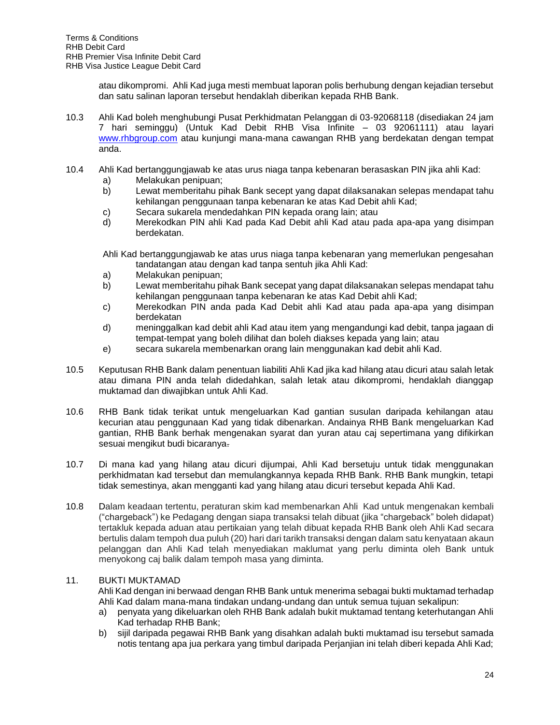atau dikompromi. Ahli Kad juga mesti membuat laporan polis berhubung dengan kejadian tersebut dan satu salinan laporan tersebut hendaklah diberikan kepada RHB Bank.

- 10.3 Ahli Kad boleh menghubungi Pusat Perkhidmatan Pelanggan di 03-92068118 (disediakan 24 jam 7 hari seminggu) (Untuk Kad Debit RHB Visa Infinite – 03 92061111) atau layari [www.rhbgroup.com](http://www.rhbgroup.com/) atau kunjungi mana-mana cawangan RHB yang berdekatan dengan tempat anda.
- 10.4 Ahli Kad bertanggungjawab ke atas urus niaga tanpa kebenaran berasaskan PIN jika ahli Kad:
	- a) Melakukan penipuan;
	- b) Lewat memberitahu pihak Bank secept yang dapat dilaksanakan selepas mendapat tahu kehilangan penggunaan tanpa kebenaran ke atas Kad Debit ahli Kad;
	- c) Secara sukarela mendedahkan PIN kepada orang lain; atau
	- d) Merekodkan PIN ahli Kad pada Kad Debit ahli Kad atau pada apa-apa yang disimpan berdekatan.

Ahli Kad bertanggungjawab ke atas urus niaga tanpa kebenaran yang memerlukan pengesahan tandatangan atau dengan kad tanpa sentuh jika Ahli Kad:

- a) Melakukan penipuan;
- b) Lewat memberitahu pihak Bank secepat yang dapat dilaksanakan selepas mendapat tahu kehilangan penggunaan tanpa kebenaran ke atas Kad Debit ahli Kad;
- c) Merekodkan PIN anda pada Kad Debit ahli Kad atau pada apa-apa yang disimpan berdekatan
- d) meninggalkan kad debit ahli Kad atau item yang mengandungi kad debit, tanpa jagaan di tempat-tempat yang boleh dilihat dan boleh diakses kepada yang lain; atau
- e) secara sukarela membenarkan orang lain menggunakan kad debit ahli Kad.
- 10.5 Keputusan RHB Bank dalam penentuan liabiliti Ahli Kad jika kad hilang atau dicuri atau salah letak atau dimana PIN anda telah didedahkan, salah letak atau dikompromi, hendaklah dianggap muktamad dan diwajibkan untuk Ahli Kad.
- 10.6 RHB Bank tidak terikat untuk mengeluarkan Kad gantian susulan daripada kehilangan atau kecurian atau penggunaan Kad yang tidak dibenarkan. Andainya RHB Bank mengeluarkan Kad gantian, RHB Bank berhak mengenakan syarat dan yuran atau caj sepertimana yang difikirkan sesuai mengikut budi bicaranya.
- 10.7 Di mana kad yang hilang atau dicuri dijumpai, Ahli Kad bersetuju untuk tidak menggunakan perkhidmatan kad tersebut dan memulangkannya kepada RHB Bank. RHB Bank mungkin, tetapi tidak semestinya, akan mengganti kad yang hilang atau dicuri tersebut kepada Ahli Kad.
- 10.8 Dalam keadaan tertentu, peraturan skim kad membenarkan Ahli Kad untuk mengenakan kembali ("chargeback") ke Pedagang dengan siapa transaksi telah dibuat (jika "chargeback" boleh didapat) tertakluk kepada aduan atau pertikaian yang telah dibuat kepada RHB Bank oleh Ahli Kad secara bertulis dalam tempoh dua puluh (20) hari dari tarikh transaksi dengan dalam satu kenyataan akaun pelanggan dan Ahli Kad telah menyediakan maklumat yang perlu diminta oleh Bank untuk menyokong caj balik dalam tempoh masa yang diminta.

## 11. BUKTI MUKTAMAD

Ahli Kad dengan ini berwaad dengan RHB Bank untuk menerima sebagai bukti muktamad terhadap Ahli Kad dalam mana-mana tindakan undang-undang dan untuk semua tujuan sekalipun:

- a) penyata yang dikeluarkan oleh RHB Bank adalah bukit muktamad tentang keterhutangan Ahli Kad terhadap RHB Bank;
- b) sijil daripada pegawai RHB Bank yang disahkan adalah bukti muktamad isu tersebut samada notis tentang apa jua perkara yang timbul daripada Perjanjian ini telah diberi kepada Ahli Kad;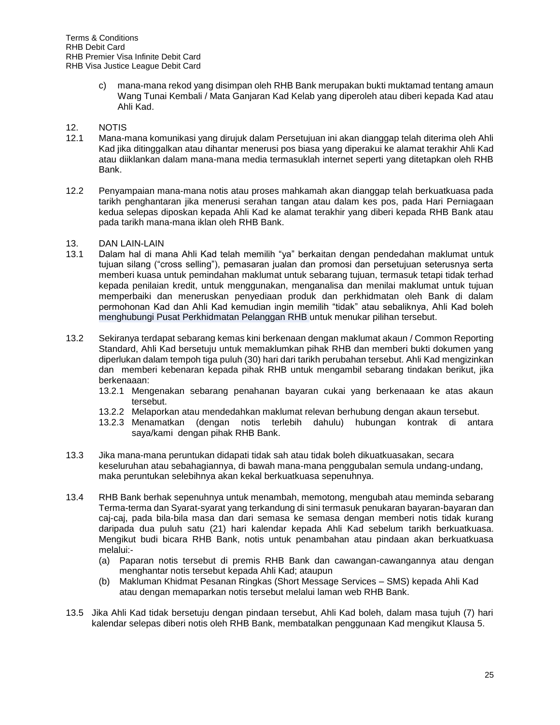c) mana-mana rekod yang disimpan oleh RHB Bank merupakan bukti muktamad tentang amaun Wang Tunai Kembali / Mata Ganjaran Kad Kelab yang diperoleh atau diberi kepada Kad atau Ahli Kad.

# 12. NOTIS

- 12.1 Mana-mana komunikasi yang dirujuk dalam Persetujuan ini akan dianggap telah diterima oleh Ahli Kad jika ditinggalkan atau dihantar menerusi pos biasa yang diperakui ke alamat terakhir Ahli Kad atau diiklankan dalam mana-mana media termasuklah internet seperti yang ditetapkan oleh RHB Bank.
- 12.2 Penyampaian mana-mana notis atau proses mahkamah akan dianggap telah berkuatkuasa pada tarikh penghantaran jika menerusi serahan tangan atau dalam kes pos, pada Hari Perniagaan kedua selepas diposkan kepada Ahli Kad ke alamat terakhir yang diberi kepada RHB Bank atau pada tarikh mana-mana iklan oleh RHB Bank.

## 13. DAN LAIN-LAIN

- 13.1 Dalam hal di mana Ahli Kad telah memilih "ya" berkaitan dengan pendedahan maklumat untuk tujuan silang ("cross selling"), pemasaran jualan dan promosi dan persetujuan seterusnya serta memberi kuasa untuk pemindahan maklumat untuk sebarang tujuan, termasuk tetapi tidak terhad kepada penilaian kredit, untuk menggunakan, menganalisa dan menilai maklumat untuk tujuan memperbaiki dan meneruskan penyediaan produk dan perkhidmatan oleh Bank di dalam permohonan Kad dan Ahli Kad kemudian ingin memilih "tidak" atau sebaliknya, Ahli Kad boleh menghubungi Pusat Perkhidmatan Pelanggan RHB untuk menukar pilihan tersebut.
- 13.2 Sekiranya terdapat sebarang kemas kini berkenaan dengan maklumat akaun / Common Reporting Standard, Ahli Kad bersetuju untuk memaklumkan pihak RHB dan memberi bukti dokumen yang diperlukan dalam tempoh tiga puluh (30) hari dari tarikh perubahan tersebut. Ahli Kad mengizinkan dan memberi kebenaran kepada pihak RHB untuk mengambil sebarang tindakan berikut, jika berkenaaan:
	- 13.2.1 Mengenakan sebarang penahanan bayaran cukai yang berkenaaan ke atas akaun tersebut.
	- 13.2.2 Melaporkan atau mendedahkan maklumat relevan berhubung dengan akaun tersebut.
	- 13.2.3 Menamatkan (dengan notis terlebih dahulu) hubungan kontrak di antara saya/kami dengan pihak RHB Bank.
- 13.3 Jika mana-mana peruntukan didapati tidak sah atau tidak boleh dikuatkuasakan, secara keseluruhan atau sebahagiannya, di bawah mana-mana penggubalan semula undang-undang, maka peruntukan selebihnya akan kekal berkuatkuasa sepenuhnya.
- 13.4 RHB Bank berhak sepenuhnya untuk menambah, memotong, mengubah atau meminda sebarang Terma-terma dan Syarat-syarat yang terkandung di sini termasuk penukaran bayaran-bayaran dan caj-caj, pada bila-bila masa dan dari semasa ke semasa dengan memberi notis tidak kurang daripada dua puluh satu (21) hari kalendar kepada Ahli Kad sebelum tarikh berkuatkuasa. Mengikut budi bicara RHB Bank, notis untuk penambahan atau pindaan akan berkuatkuasa melalui:-
	- (a) Paparan notis tersebut di premis RHB Bank dan cawangan-cawangannya atau dengan menghantar notis tersebut kepada Ahli Kad; ataupun
	- (b) Makluman Khidmat Pesanan Ringkas (Short Message Services SMS) kepada Ahli Kad atau dengan memaparkan notis tersebut melalui laman web RHB Bank.
- 13.5 Jika Ahli Kad tidak bersetuju dengan pindaan tersebut, Ahli Kad boleh, dalam masa tujuh (7) hari kalendar selepas diberi notis oleh RHB Bank, membatalkan penggunaan Kad mengikut Klausa 5.